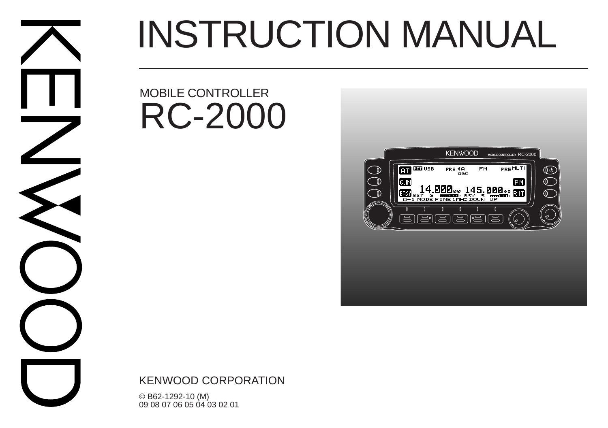# INSTRUCTION MANUAL

## MOBILE CONTROLLER RC-2000



KENWOOD CORPORATION

© B62-1292-10 (M) 09 08 07 06 05 04 03 02 01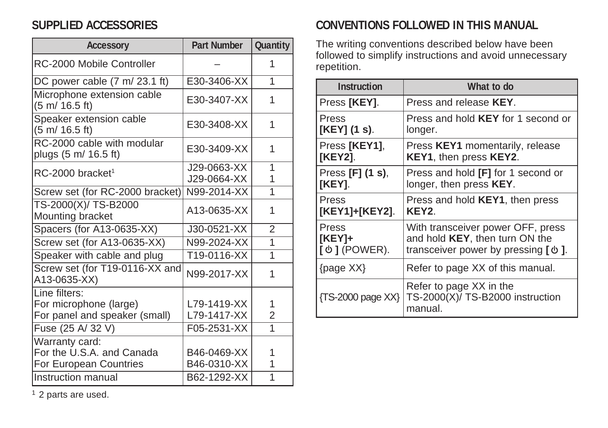## **SUPPLIED ACCESSORIES**

| <b>Accessory</b>                                                         | <b>Part Number</b>         | Quantity            |
|--------------------------------------------------------------------------|----------------------------|---------------------|
| RC-2000 Mobile Controller                                                |                            | 1                   |
| DC power cable (7 m/ 23.1 ft)                                            | E30-3406-XX                | 1                   |
| Microphone extension cable<br>$(5 \text{ m} / 16.5 \text{ ft})$          | E30-3407-XX                | 1                   |
| Speaker extension cable<br>$(5 \text{ m} / 16.5 \text{ ft})$             | E30-3408-XX                | 1                   |
| RC-2000 cable with modular<br>plugs (5 m/ 16.5 ft)                       | E30-3409-XX                | 1                   |
| $RC-2000$ bracket <sup>1</sup>                                           | J29-0663-XX                | 1                   |
|                                                                          | J29-0664-XX                | 1                   |
| Screw set (for RC-2000 bracket)                                          | N99-2014-XX                | 1                   |
| TS-2000(X)/ TS-B2000<br>Mounting bracket                                 | A13-0635-XX                | 1                   |
| Spacers (for A13-0635-XX)                                                | J30-0521-XX                | $\overline{2}$      |
| Screw set (for A13-0635-XX)                                              | N99-2024-XX                | 1                   |
| Speaker with cable and plug                                              | T19-0116-XX                | 1                   |
| Screw set (for T19-0116-XX and<br>A13-0635-XX)                           | N99-2017-XX                | 1                   |
| Line filters:<br>For microphone (large)<br>For panel and speaker (small) | L79-1419-XX<br>L79-1417-XX | 1<br>$\overline{2}$ |
| Fuse (25 A/ 32 V)                                                        | F05-2531-XX                | 1                   |
| Warranty card:<br>For the U.S.A. and Canada<br>For European Countries    | B46-0469-XX<br>B46-0310-XX | 1<br>1              |
| Instruction manual                                                       | B62-1292-XX                | 1                   |

## **CONVENTIONS FOLLOWED IN THIS MANUAL**

The writing conventions described below have been followed to simplify instructions and avoid unnecessary repetition.

| <b>Instruction</b>           | What to do                                                             |
|------------------------------|------------------------------------------------------------------------|
| Press [KEY].                 | Press and release <b>KEY</b> .                                         |
| Press                        | Press and hold <b>KEY</b> for 1 second or                              |
| [KEY] (1 s).                 | longer.                                                                |
| Press [KEY1],                | Press KEY1 momentarily, release                                        |
| [KEY2].                      | KEY1, then press KEY2.                                                 |
| Press [F] (1 s),             | Press and hold [F] for 1 second or                                     |
| [KEY].                       | longer, then press KEY.                                                |
| Press                        | Press and hold <b>KEY1</b> , then press                                |
| [KEY1]+[KEY2].               | KEY2.                                                                  |
| Press                        | With transceiver power OFF, press                                      |
| $[KEY]+$                     | and hold KEY, then turn ON the                                         |
| $\left[\Phi\right]$ (POWER). | transceiver power by pressing $\phi$ ].                                |
| ${page XX}$                  | Refer to page XX of this manual.                                       |
| {TS-2000 page XX}            | Refer to page XX in the<br>TS-2000(X)/ TS-B2000 instruction<br>manual. |

<sup>1</sup> 2 parts are used.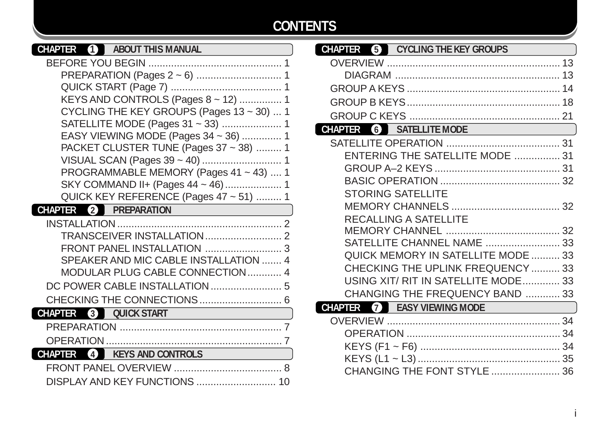## **CONTENTS**

| CHAPTER            | 41             | <b>ABOUT THIS MANUAL</b> |                                              |  |
|--------------------|----------------|--------------------------|----------------------------------------------|--|
| BEFORE YOU BEGIN   |                |                          |                                              |  |
|                    |                |                          |                                              |  |
|                    |                |                          |                                              |  |
|                    |                |                          | KEYS AND CONTROLS (Pages 8 ~ 12)  1          |  |
|                    |                |                          | CYCLING THE KEY GROUPS (Pages 13 ~ 30)  1    |  |
|                    |                |                          | SATELLITE MODE (Pages 31 ~ 33)  1            |  |
|                    |                |                          | EASY VIEWING MODE (Pages 34 ~ 36)  1         |  |
|                    |                |                          | PACKET CLUSTER TUNE (Pages 37 ~ 38)  1       |  |
|                    |                |                          |                                              |  |
|                    |                |                          | PROGRAMMABLE MEMORY (Pages $41 \sim 43$ )  1 |  |
|                    |                |                          | SKY COMMAND II+ (Pages 44 ~ 46)  1           |  |
|                    |                |                          | QUICK KEY REFERENCE (Pages 47 ~ 51)  1       |  |
| CHAPTER            | $\mathcal{L}$  | <b>PREPARATION</b>       |                                              |  |
|                    |                |                          |                                              |  |
|                    |                |                          |                                              |  |
|                    |                |                          |                                              |  |
|                    |                |                          | SPEAKER AND MIC CABLE INSTALLATION  4        |  |
|                    |                |                          | MODULAR PLUG CABLE CONNECTION 4              |  |
|                    |                |                          |                                              |  |
|                    |                |                          |                                              |  |
| <b>CHAPTER</b>     | $\overline{3}$ | <b>QUICK START</b>       |                                              |  |
| <b>PREPARATION</b> |                |                          |                                              |  |
| <b>OPERATION</b>   |                |                          |                                              |  |

**CHAPTER 4 KEYS AND CONTROLS**

FRONT PANEL OVERVIEW ...................................... 8 DISPLAY AND KEY FUNCTIONS ............................ 10

| CHAPTER<br><b>CYCLING THE KEY GROUPS</b>             |  |
|------------------------------------------------------|--|
|                                                      |  |
|                                                      |  |
|                                                      |  |
|                                                      |  |
|                                                      |  |
| SATELLITE MODE<br>CHAPTER<br>$\overline{\mathbf{6}}$ |  |
|                                                      |  |
| ENTERING THE SATELLITE MODE  31                      |  |
|                                                      |  |
|                                                      |  |
| <b>STORING SATELLITE</b>                             |  |
|                                                      |  |
| <b>RECALLING A SATELLITE</b>                         |  |
|                                                      |  |
| SATELLITE CHANNEL NAME  33                           |  |
| QUICK MEMORY IN SATELLITE MODE  33                   |  |
| CHECKING THE UPLINK FREQUENCY  33                    |  |
| USING XIT/ RIT IN SATELLITE MODE 33                  |  |
| CHANGING THE FREQUENCY BAND  33                      |  |
| <b>CHAPTER</b><br><b>EASY VIEWING MODE</b><br>7      |  |
|                                                      |  |
|                                                      |  |
|                                                      |  |
|                                                      |  |
| CHANGING THE FONT STYLE  36                          |  |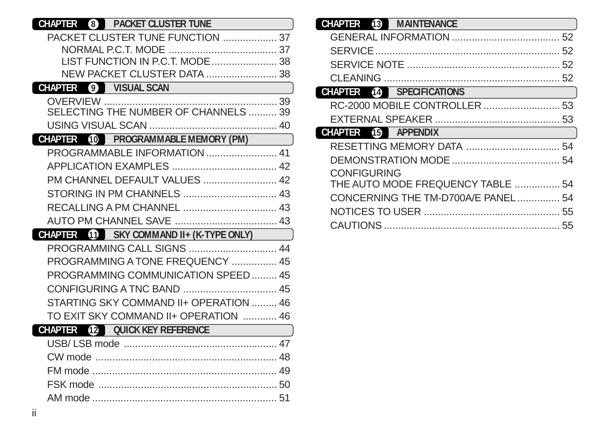| <b>PACKET CLUSTER TUNE</b><br>CHAPTER 8                       |
|---------------------------------------------------------------|
| PACKET CLUSTER TUNE FUNCTION  37                              |
|                                                               |
| LIST FUNCTION IN P.C.T. MODE  38                              |
| NEW PACKET CLUSTER DATA  38                                   |
| <b>VISUAL SCAN</b><br>CHAPTER<br>$\left( 9\right)$            |
|                                                               |
| SELECTING THE NUMBER OF CHANNELS  39                          |
|                                                               |
| <b>PROGRAMMABLE MEMORY (PM)</b><br>CHAPTER<br>10 <sup>1</sup> |
|                                                               |
|                                                               |
| PM CHANNEL DEFAULT VALUES  42                                 |
|                                                               |
|                                                               |
|                                                               |
| <b>CHAPTER</b> 11 SKY COMMAND II+ (K-TYPE ONLY)               |
| PROGRAMMING CALL SIGNS  44                                    |
| PROGRAMMING A TONE FREQUENCY  45                              |
| PROGRAMMING COMMUNICATION SPEED 45                            |
|                                                               |
| STARTING SKY COMMAND II+ OPERATION  46                        |
| TO EXIT SKY COMMAND II+ OPERATION  46                         |
| <b>CHAPTER</b> (12) OUICK KEY REFERENCE                       |
|                                                               |
|                                                               |
|                                                               |
|                                                               |
|                                                               |
|                                                               |

| <b>CHAPTER</b><br>(13)<br><b>MAINTENANCE</b> |  |
|----------------------------------------------|--|
|                                              |  |
| <b>SERVICE</b>                               |  |
|                                              |  |
| <b>CLEANING</b>                              |  |
| <b>CHAPTER</b><br>SPECIFICATIONS<br>(14)     |  |
|                                              |  |
|                                              |  |
|                                              |  |
| <b>CHAPTER</b><br>15 APPENDIX                |  |
|                                              |  |
|                                              |  |
| <b>CONFIGURING</b>                           |  |
| THE AUTO MODE FREQUENCY TABLE  54            |  |
| CONCERNING THE TM-D700A/E PANEL 54           |  |
|                                              |  |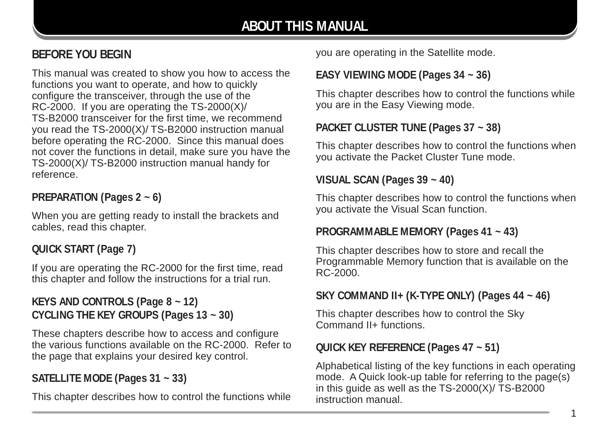## **BEFORE YOU BEGIN**

This manual was created to show you how to access the functions you want to operate, and how to quickly configure the transceiver, through the use of the RC-2000. If you are operating the TS-2000(X)/ TS-B2000 transceiver for the first time, we recommend you read the TS-2000(X)/ TS-B2000 instruction manual before operating the RC-2000. Since this manual does not cover the functions in detail, make sure you have the TS-2000(X)/ TS-B2000 instruction manual handy for reference.

#### **PREPARATION (Pages 2 ~ 6)**

When you are getting ready to install the brackets and cables, read this chapter.

#### **QUICK START (Page 7)**

If you are operating the RC-2000 for the first time, read this chapter and follow the instructions for a trial run.

#### **KEYS AND CONTROLS (Page 8 ~ 12) CYCLING THE KEY GROUPS (Pages 13 ~ 30)**

These chapters describe how to access and configure the various functions available on the RC-2000. Refer to the page that explains your desired key control.

### **SATELLITE MODE (Pages 31 ~ 33)**

This chapter describes how to control the functions while

you are operating in the Satellite mode.

#### **EASY VIEWING MODE (Pages 34 ~ 36)**

This chapter describes how to control the functions while you are in the Easy Viewing mode.

#### **PACKET CLUSTER TUNE (Pages 37 ~ 38)**

This chapter describes how to control the functions when you activate the Packet Cluster Tune mode.

#### **VISUAL SCAN (Pages 39 ~ 40)**

This chapter describes how to control the functions when you activate the Visual Scan function.

#### **PROGRAMMABLE MEMORY (Pages 41 ~ 43)**

This chapter describes how to store and recall the Programmable Memory function that is available on the RC-2000.

#### **SKY COMMAND II+ (K-TYPE ONLY) (Pages 44 ~ 46)**

This chapter describes how to control the Sky Command II+ functions.

#### **QUICK KEY REFERENCE (Pages 47 ~ 51)**

Alphabetical listing of the key functions in each operating mode. A Quick look-up table for referring to the page(s) in this guide as well as the TS-2000(X)/ TS-B2000 instruction manual.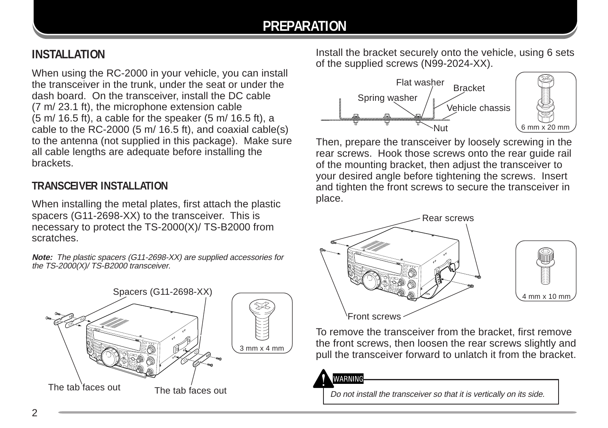## **PREPARATION**

## **INSTALLATION**

When using the RC-2000 in your vehicle, you can install the transceiver in the trunk, under the seat or under the dash board. On the transceiver, install the DC cable (7 m/ 23.1 ft), the microphone extension cable (5 m/ 16.5 ft), a cable for the speaker (5 m/ 16.5 ft), a cable to the RC-2000 (5 m/ 16.5 ft), and coaxial cable(s) to the antenna (not supplied in this package). Make sure all cable lengths are adequate before installing the brackets.

#### **TRANSCEIVER INSTALLATION**

When installing the metal plates, first attach the plastic spacers (G11-2698-XX) to the transceiver. This is necessary to protect the TS-2000(X)/ TS-B2000 from scratches.

**Note:** The plastic spacers (G11-2698-XX) are supplied accessories for the TS-2000(X)/TS-B2000 transceiver.



Install the bracket securely onto the vehicle, using 6 sets of the supplied screws (N99-2024-XX).



Then, prepare the transceiver by loosely screwing in the rear screws. Hook those screws onto the rear guide rail of the mounting bracket, then adjust the transceiver to your desired angle before tightening the screws. Insert and tighten the front screws to secure the transceiver in place.



To remove the transceiver from the bracket, first remove the front screws, then loosen the rear screws slightly and pull the transceiver forward to unlatch it from the bracket.

WARNING

Do not install the transceiver so that it is vertically on its side.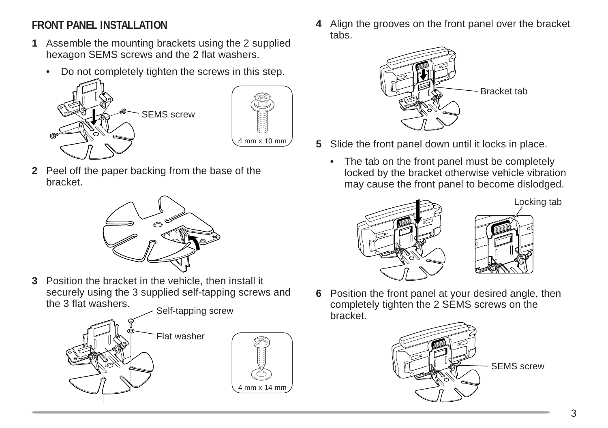## **FRONT PANEL INSTALLATION**

- **1** Assemble the mounting brackets using the 2 supplied hexagon SEMS screws and the 2 flat washers.
	- Do not completely tighten the screws in this step.





**2** Peel off the paper backing from the base of the bracket.



**3** Position the bracket in the vehicle, then install it securely using the 3 supplied self-tapping screws and the 3 flat washers.





**4** Align the grooves on the front panel over the bracket tabs.



- **5** Slide the front panel down until it locks in place.
	- The tab on the front panel must be completely locked by the bracket otherwise vehicle vibration may cause the front panel to become dislodged.



Locking tab



**6** Position the front panel at your desired angle, then completely tighten the 2 SEMS screws on the bracket.

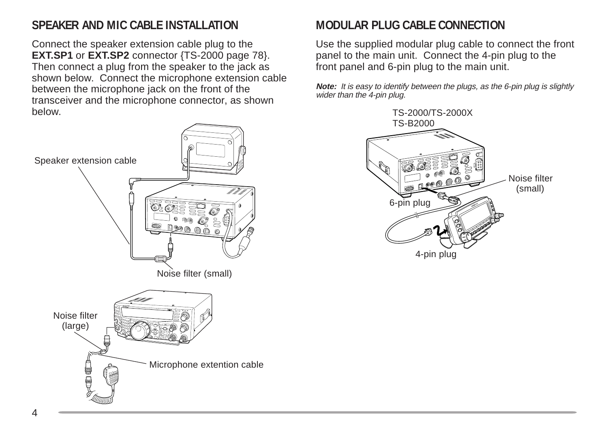## **SPEAKER AND MIC CABLE INSTALLATION**

Connect the speaker extension cable plug to the **EXT.SP1** or **EXT.SP2** connector {TS-2000 page 78}. Then connect a plug from the speaker to the jack as shown below. Connect the microphone extension cable between the microphone jack on the front of the transceiver and the microphone connector, as shown below.



## **MODULAR PLUG CABLE CONNECTION**

Use the supplied modular plug cable to connect the front panel to the main unit. Connect the 4-pin plug to the front panel and 6-pin plug to the main unit.

**Note:** It is easy to identify between the plugs, as the 6-pin plug is slightly wider than the 4-pin plug.

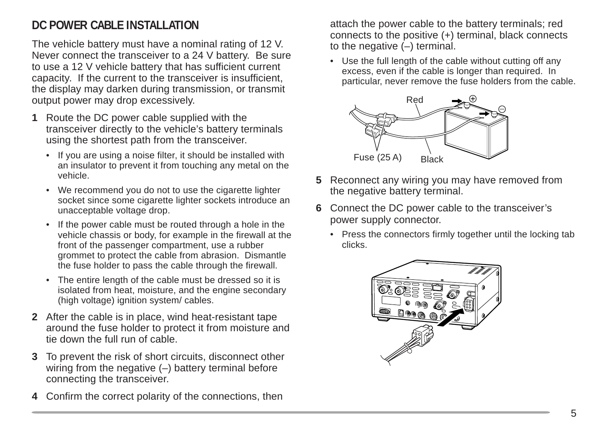## **DC POWER CABLE INSTALLATION**

The vehicle battery must have a nominal rating of 12 V. Never connect the transceiver to a 24 V battery. Be sure to use a 12 V vehicle battery that has sufficient current capacity. If the current to the transceiver is insufficient, the display may darken during transmission, or transmit output power may drop excessively.

- **1** Route the DC power cable supplied with the transceiver directly to the vehicle's battery terminals using the shortest path from the transceiver.
	- If you are using a noise filter, it should be installed with an insulator to prevent it from touching any metal on the vehicle.
	- We recommend you do not to use the cigarette lighter socket since some cigarette lighter sockets introduce an unacceptable voltage drop.
	- If the power cable must be routed through a hole in the vehicle chassis or body, for example in the firewall at the front of the passenger compartment, use a rubber grommet to protect the cable from abrasion. Dismantle the fuse holder to pass the cable through the firewall.
	- The entire length of the cable must be dressed so it is isolated from heat, moisture, and the engine secondary (high voltage) ignition system/ cables.
- **2** After the cable is in place, wind heat-resistant tape around the fuse holder to protect it from moisture and tie down the full run of cable.
- **3** To prevent the risk of short circuits, disconnect other wiring from the negative (–) battery terminal before connecting the transceiver.
- **4** Confirm the correct polarity of the connections, then

attach the power cable to the battery terminals; red connects to the positive (+) terminal, black connects to the negative  $(-)$  terminal.

Use the full length of the cable without cutting off any excess, even if the cable is longer than required. In particular, never remove the fuse holders from the cable.



- **5** Reconnect any wiring you may have removed from the negative battery terminal.
- **6** Connect the DC power cable to the transceiver's power supply connector.
	- Press the connectors firmly together until the locking tab clicks.

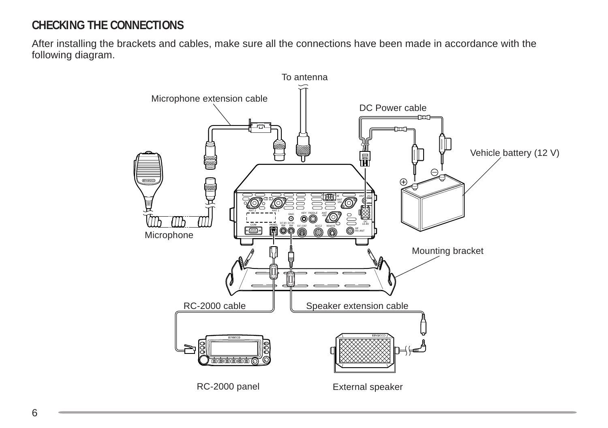## **CHECKING THE CONNECTIONS**

After installing the brackets and cables, make sure all the connections have been made in accordance with the following diagram.

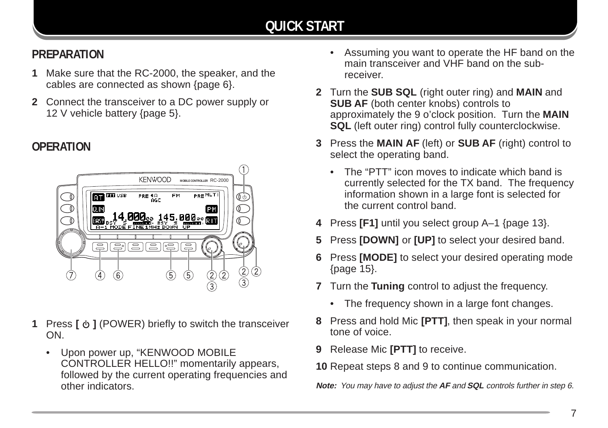## **PREPARATION**

- **1** Make sure that the RC-2000, the speaker, and the cables are connected as shown {page 6}.
- **2** Connect the transceiver to a DC power supply or 12 V vehicle battery {page 5}.

## **OPERATION**



- 1 Press  $\phi$  1 (POWER) briefly to switch the transceiver ON.
	- Upon power up, "KENWOOD MOBILE CONTROLLER HELLO!!" momentarily appears, followed by the current operating frequencies and other indicators.
- Assuming you want to operate the HF band on the main transceiver and VHF band on the subreceiver.
- **2** Turn the **SUB SQL** (right outer ring) and **MAIN** and **SUB AF** (both center knobs) controls to approximately the 9 o'clock position. Turn the **MAIN SQL** (left outer ring) control fully counterclockwise.
- **3** Press the **MAIN AF** (left) or **SUB AF** (right) control to select the operating band.
	- The "PTT" icon moves to indicate which band is currently selected for the TX band. The frequency information shown in a large font is selected for the current control band.
- **4** Press **[F1]** until you select group A–1 {page 13}.
- **5** Press **[DOWN]** or **[UP]** to select your desired band.
- **6** Press **[MODE]** to select your desired operating mode {page 15}.
- **7** Turn the **Tuning** control to adjust the frequency.
	- The frequency shown in a large font changes.
- **8** Press and hold Mic **[PTT]**, then speak in your normal tone of voice.
- **9** Release Mic **[PTT]** to receive.
- **10** Repeat steps 8 and 9 to continue communication.

**Note:** You may have to adjust the **AF** and **SQL** controls further in step 6.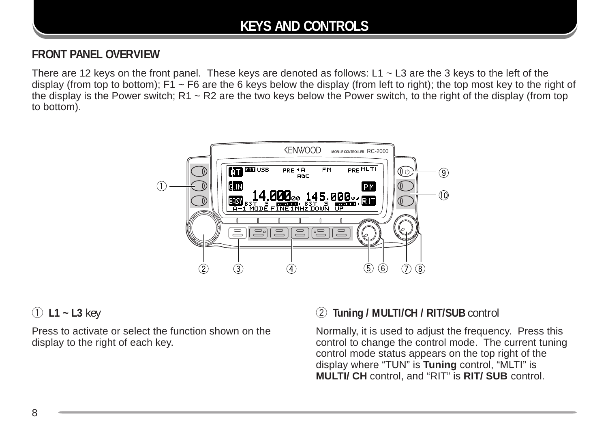## **KEYS AND CONTROLS**

### **FRONT PANEL OVERVIEW**

There are 12 keys on the front panel. These keys are denoted as follows: L1  $\sim$  L3 are the 3 keys to the left of the display (from top to bottom);  $F1 \sim F6$  are the 6 keys below the display (from left to right); the top most key to the right of the display is the Power switch;  $R1 \sim R2$  are the two keys below the Power switch, to the right of the display (from top to bottom).



#### q **L1 ~ L3** key

Press to activate or select the function shown on the display to the right of each key.

## w **Tuning / MULTI/CH / RIT/SUB** control

Normally, it is used to adjust the frequency. Press this control to change the control mode. The current tuning control mode status appears on the top right of the display where "TUN" is **Tuning** control, "MLTI" is **MULTI/ CH** control, and "RIT" is **RIT/ SUB** control.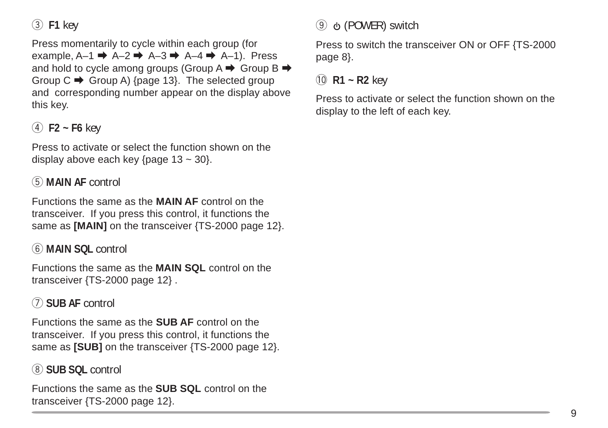e **F1** key

Press momentarily to cycle within each group (for example,  $A-1 \rightarrow A-2 \rightarrow A-3 \rightarrow A-4 \rightarrow A-1$ ). Press and hold to cycle among groups (Group  $A \rightarrow G$ roup  $B \rightarrow$ Group  $C \rightarrow$  Group A) {page 13}. The selected group and corresponding number appear on the display above this key.

## $(4)$  **F2 ~ F6** key

Press to activate or select the function shown on the display above each key  ${page 13 ~ 30}$ .

#### t **MAIN AF** control

Functions the same as the **MAIN AF** control on the transceiver. If you press this control, it functions the same as **[MAIN]** on the transceiver {TS-2000 page 12}.

#### y **MAIN SQL** control

Functions the same as the **MAIN SQL** control on the transceiver {TS-2000 page 12} .

### u **SUB AF** control

Functions the same as the **SUB AF** control on the transceiver. If you press this control, it functions the same as **[SUB]** on the transceiver {TS-2000 page 12}.

#### i **SUB SQL** control

Functions the same as the **SUB SQL** control on the transceiver {TS-2000 page 12}.

## o (POWER) switch

Press to switch the transceiver ON or OFF {TS-2000 page 8}.

!0 **R1 ~ R2** key

Press to activate or select the function shown on the display to the left of each key.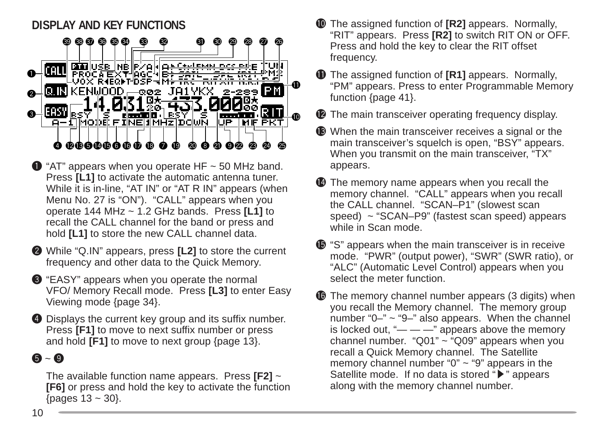## **DISPLAY AND KEY FUNCTIONS**



- $\bigodot$  "AT" appears when you operate HF  $\sim$  50 MHz band. Press [L1] to activate the automatic antenna tuner. While it is in-line, "AT IN" or "AT R IN" appears (when Menu No. 27 is "ON"). "CALL" appears when you operate 144 MHz ~ 1.2 GHz bands. Press **[L1]** to recall the CALL channel for the band or press and hold **[L1]** to store the new CALL channel data.
- w While "Q.IN" appears, press **[L2]** to store the current frequency and other data to the Quick Memory.
- e "EASY" appears when you operate the normal VFO/ Memory Recall mode. Press **[L3]** to enter Easy Viewing mode {page 34}.
- **4** Displays the current key group and its suffix number. Press **[F1]** to move to next suffix number or press and hold **[F1]** to move to next group {page 13}.

## $6 - 9$

The available function name appears. Press **[F2]** ~ **[F6]** or press and hold the key to activate the function {pages 13 ~ 30}.

- !0The assigned function of **[R2]** appears. Normally, "RIT" appears. Press **[R2]** to switch RIT ON or OFF. Press and hold the key to clear the RIT offset frequency.
- **1** The assigned function of **[R1]** appears. Normally, "PM" appears. Press to enter Programmable Memory function {page 41}.
- **12** The main transceiver operating frequency display.
- $\bullet$  When the main transceiver receives a signal or the main transceiver's squelch is open, "BSY" appears. When you transmit on the main transceiver, "TX" appears.
- **12** The memory name appears when you recall the memory channel. "CALL" appears when you recall the CALL channel. "SCAN–P1" (slowest scan speed) ~ "SCAN–P9" (fastest scan speed) appears while in Scan mode.
- $\bullet$  "S" appears when the main transceiver is in receive mode. "PWR" (output power), "SWR" (SWR ratio), or "ALC" (Automatic Level Control) appears when you select the meter function.
- **16** The memory channel number appears (3 digits) when you recall the Memory channel. The memory group number " $0$ –"  $\sim$  " $9$ –" also appears. When the channel is locked out, " $\frac{m}{m}$  —  $\frac{m}{m}$  appears above the memory channel number. "Q01"  $\sim$  "Q09" appears when you recall a Quick Memory channel. The Satellite memory channel number " $0$ "  $\sim$  "9" appears in the Satellite mode. If no data is stored " $\blacktriangleright$ " appears along with the memory channel number.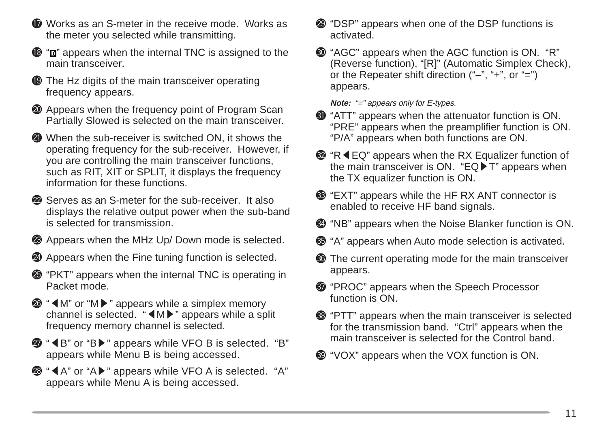- **ID** Works as an S-meter in the receive mode. Works as the meter you selected while transmitting.
- $\mathbf{B}$  " $\mathbf{r}$ " appears when the internal TNC is assigned to the main transceiver.
- **19** The Hz digits of the main transceiver operating frequency appears.
- **<sup>20</sup>** Appears when the frequency point of Program Scan Partially Slowed is selected on the main transceiver.
- @1When the sub-receiver is switched ON, it shows the operating frequency for the sub-receiver. However, if you are controlling the main transceiver functions, such as RIT, XIT or SPLIT, it displays the frequency information for these functions.
- **2** Serves as an S-meter for the sub-receiver. It also displays the relative output power when the sub-band is selected for transmission.
- @3Appears when the MHz Up/ Down mode is selected.
- @4Appears when the Fine tuning function is selected.
- @5"PKT" appears when the internal TNC is operating in Packet mode.
- **<sup>■</sup> "**M" or "M  $\triangleright$  " appears while a simplex memory channel is selected. " $\n **M**\n$ " appears while a split frequency memory channel is selected.
- **<sup></sup>**  $\bullet$  **"**  $\bullet$  **B" or "B**  $\bullet$ **" appears while VFO B is selected. "B"** appears while Menu B is being accessed.
- **<sup><sup>3</sup>**</sup> " **4** A" or "A  $\blacktriangleright$  " appears while VFO A is selected. "A" appears while Menu A is being accessed.
- @9"DSP" appears when one of the DSP functions is activated.
- $\bullet$  "AGC" appears when the AGC function is ON. "R" (Reverse function), "[R]" (Automatic Simplex Check), or the Repeater shift direction ("–", "+", or "=") appears.

**Note:** "=" appears only for E-types.

- **40** "ATT" appears when the attenuator function is ON. "PRE" appears when the preamplifier function is ON. "P/A" appears when both functions are ON.
- **<sup>texe P</sup> "R <math>≤</math> EQ" appears when the RX Equality function of**</sup> the main transceiver is ON. "EQ $\blacktriangleright$  T" appears when the TX equalizer function is ON.
- $\bullet$  "EXT" appears while the HF RX ANT connector is enabled to receive HF band signals.
- $\bullet$  "NB" appears when the Noise Blanker function is ON.
- $\circled{3}$  "A" appears when Auto mode selection is activated.
- **66** The current operating mode for the main transceiver appears.
- $\odot$  "PROC" appears when the Speech Processor function is ON.
- <sup>3</sup> "PTT" appears when the main transceiver is selected for the transmission band. "Ctrl" appears when the main transceiver is selected for the Control band.
- $\bullet$  "VOX" appears when the VOX function is ON.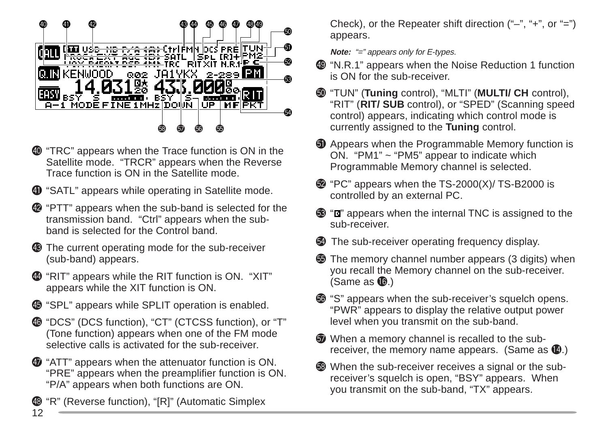

- $\bullet$  "TRC" appears when the Trace function is ON in the Satellite mode. "TRCR" appears when the Reverse Trace function is ON in the Satellite mode.
- **1** "SATL" appears while operating in Satellite mode.
- $\Phi$  "PTT" appears when the sub-band is selected for the transmission band. "Ctrl" appears when the subband is selected for the Control band.
- $\bullet$  The current operating mode for the sub-receiver (sub-band) appears.
- $\bullet$  "RIT" appears while the RIT function is ON. "XIT" appears while the XIT function is ON.
- $\bullet$  "SPL" appears while SPLIT operation is enabled.
- $\bullet$  "DCS" (DCS function), "CT" (CTCSS function), or "T" (Tone function) appears when one of the FM mode selective calls is activated for the sub-receiver.
- $\Phi$  "ATT" appears when the attenuator function is ON. "PRE" appears when the preamplifier function is ON. "P/A" appears when both functions are ON.

12 "R" (Reverse function), "[R]" (Automatic Simplex Check), or the Repeater shift direction ("–", "+", or "=") appears.

**Note:** "=" appears only for E-types.

- $\bullet$  "N.R.1" appears when the Noise Reduction 1 function is ON for the sub-receiver.
- %0"TUN" (**Tuning** control), "MLTI" (**MULTI/ CH** control), "RIT" (**RIT/ SUB** control), or "SPED" (Scanning speed control) appears, indicating which control mode is currently assigned to the **Tuning** control.
- **1** Appears when the Programmable Memory function is ON. "PM1" ~ "PM5" appear to indicate which Programmable Memory channel is selected.
- $\bullet$  "PC" appears when the TS-2000(X)/ TS-B2000 is controlled by an external PC.
- $\circled{3}$  " $\circled{1}$ " appears when the internal TNC is assigned to the sub-receiver.
- $\bullet$  The sub-receiver operating frequency display.
- **55** The memory channel number appears (3 digits) when you recall the Memory channel on the sub-receiver. (Same as  $\mathbf{\mathbb{G}}$ .)
- %6"S" appears when the sub-receiver's squelch opens. "PWR" appears to display the relative output power level when you transmit on the sub-band.
- $\Phi$  When a memory channel is recalled to the subreceiver, the memory name appears. (Same as  $(4)$ .)
- %8When the sub-receiver receives a signal or the subreceiver's squelch is open, "BSY" appears. When you transmit on the sub-band, "TX" appears.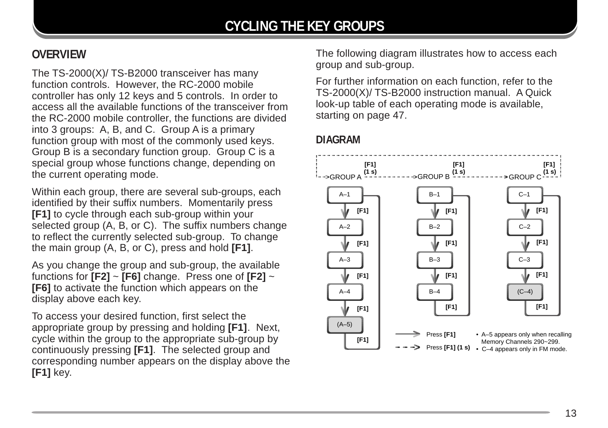## **OVERVIEW**

The TS-2000(X)/ TS-B2000 transceiver has many function controls. However, the RC-2000 mobile controller has only 12 keys and 5 controls. In order to access all the available functions of the transceiver from the RC-2000 mobile controller, the functions are divided into 3 groups: A, B, and C. Group A is a primary function group with most of the commonly used keys. Group B is a secondary function group. Group C is a special group whose functions change, depending on the current operating mode.

Within each group, there are several sub-groups, each identified by their suffix numbers. Momentarily press **[F1]** to cycle through each sub-group within your selected group (A, B, or C). The suffix numbers change to reflect the currently selected sub-group. To change the main group (A, B, or C), press and hold **[F1]**.

As you change the group and sub-group, the available functions for **[F2]** ~ **[F6]** change. Press one of **[F2]** ~ **[F6]** to activate the function which appears on the display above each key.

To access your desired function, first select the appropriate group by pressing and holding **[F1]**. Next, cycle within the group to the appropriate sub-group by continuously pressing **[F1]**. The selected group and corresponding number appears on the display above the **[F1]** key.

The following diagram illustrates how to access each group and sub-group.

For further information on each function, refer to the TS-2000(X)/ TS-B2000 instruction manual. A Quick look-up table of each operating mode is available, starting on page 47.

#### **DIAGRAM**

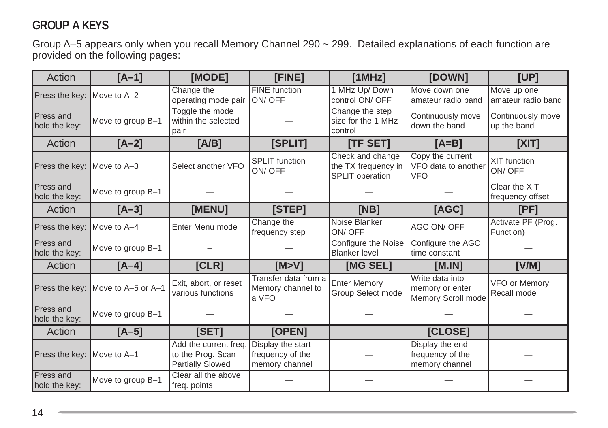## **GROUP A KEYS**

Group A–5 appears only when you recall Memory Channel 290 ~ 299. Detailed explanations of each function are provided on the following pages:

| Action                            | $[A-1]$                           | [MODE]                                                         | [FINE]                                                  | [1MHz]                                                     | [DOWN]                                                   | [UP]                              |
|-----------------------------------|-----------------------------------|----------------------------------------------------------------|---------------------------------------------------------|------------------------------------------------------------|----------------------------------------------------------|-----------------------------------|
| Press the key: Move to A-2        |                                   | Change the<br>operating mode pair                              | <b>FINE</b> function<br>ON/OFF                          | 1 MHz Up/Down<br>control ON/ OFF                           | Move down one<br>amateur radio band                      | Move up one<br>amateur radio band |
| <b>Press and</b><br>hold the key: | Move to group B-1                 | Toggle the mode<br>within the selected<br>pair                 |                                                         | Change the step<br>size for the 1 MHz<br>control           | Continuously move<br>down the band                       | Continuously move<br>up the band  |
| Action                            | $[A-2]$                           | [A/B]                                                          | [SPLIT]                                                 | [TF SET]                                                   | $[A=B]$                                                  | [X T]                             |
| Press the key: Move to A-3        |                                   | Select another VFO                                             | <b>SPLIT</b> function<br>ON/OFF                         | Check and change<br>the TX frequency in<br>SPLIT operation | Copy the current<br>VFO data to another<br><b>VFO</b>    | XIT function<br>ON/OFF            |
| Press and<br>hold the key:        | Move to group B-1                 |                                                                |                                                         |                                                            |                                                          | Clear the XIT<br>frequency offset |
| Action                            | $[A-3]$                           | [MENU]                                                         | [STEP]                                                  | [NB]                                                       | [AGC]                                                    | [PF]                              |
| Press the key: Move to A-4        |                                   | Enter Menu mode                                                | Change the<br>frequency step                            | Noise Blanker<br>ON/OFF                                    | AGC ON/ OFF                                              | Activate PF (Prog.<br>Function)   |
| Press and<br>hold the key:        | Move to group B-1                 |                                                                |                                                         | Configure the Noise<br><b>Blanker level</b>                | Configure the AGC<br>time constant                       |                                   |
| Action                            | $[A-4]$                           | [CLR]                                                          | [M>V]                                                   | [MG SEL]                                                   | [M.IN]                                                   | [V/M]                             |
|                                   | Press the key: Move to A-5 or A-1 | Exit, abort, or reset<br>various functions                     | Transfer data from a<br>Memory channel to<br>a VFO      | <b>Enter Memory</b><br>Group Select mode                   | Write data into<br>memory or enter<br>Memory Scroll mode | VFO or Memory<br>Recall mode      |
| <b>Press and</b><br>hold the key: | Move to group B-1                 |                                                                |                                                         |                                                            |                                                          |                                   |
| Action                            | $[A-5]$                           | [SET]                                                          | [OPEN]                                                  |                                                            | [CLOSE]                                                  |                                   |
| Press the key: Move to A-1        |                                   | Add the current freq.<br>to the Prog. Scan<br>Partially Slowed | Display the start<br>frequency of the<br>memory channel |                                                            | Display the end<br>frequency of the<br>memory channel    |                                   |
| <b>Press and</b><br>hold the key: | Move to group B-1                 | Clear all the above<br>freq. points                            |                                                         |                                                            |                                                          |                                   |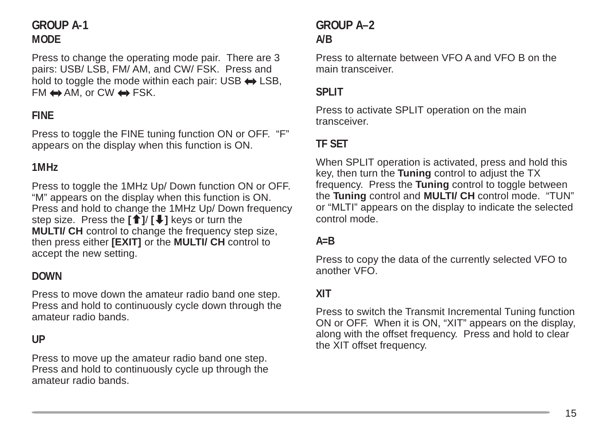## **GROUP A-1 MODE**

Press to change the operating mode pair. There are 3 pairs: USB/ LSB, FM/ AM, and CW/ FSK. Press and hold to toggle the mode within each pair: USB  $\leftrightarrow$  LSB,  $FM \leftrightarrow AM$ , or CW  $\leftrightarrow$  FSK.

#### **FINE**

Press to toggle the FINE tuning function ON or OFF. "F" appears on the display when this function is ON.

#### **1MHz**

Press to toggle the 1MHz Up/ Down function ON or OFF. "M" appears on the display when this function is ON. Press and hold to change the 1MHz Up/ Down frequency step size. Press the **[**c**]**/ **[**d**]** keys or turn the **MULTI/ CH** control to change the frequency step size, then press either **[EXIT]** or the **MULTI/ CH** control to accept the new setting.

#### **DOWN**

Press to move down the amateur radio band one step. Press and hold to continuously cycle down through the amateur radio bands.

#### **UP**

Press to move up the amateur radio band one step. Press and hold to continuously cycle up through the amateur radio bands.

## **GROUP A–2 A/B**

Press to alternate between VFO A and VFO B on the main transceiver.

#### **SPLIT**

Press to activate SPLIT operation on the main transceiver.

### **TF SET**

When SPLIT operation is activated, press and hold this key, then turn the **Tuning** control to adjust the TX frequency. Press the **Tuning** control to toggle between the **Tuning** control and **MULTI/ CH** control mode. "TUN" or "MLTI" appears on the display to indicate the selected control mode.

#### **A=B**

Press to copy the data of the currently selected VFO to another VFO.

#### **XIT**

Press to switch the Transmit Incremental Tuning function ON or OFF. When it is ON, "XIT" appears on the display, along with the offset frequency. Press and hold to clear the XIT offset frequency.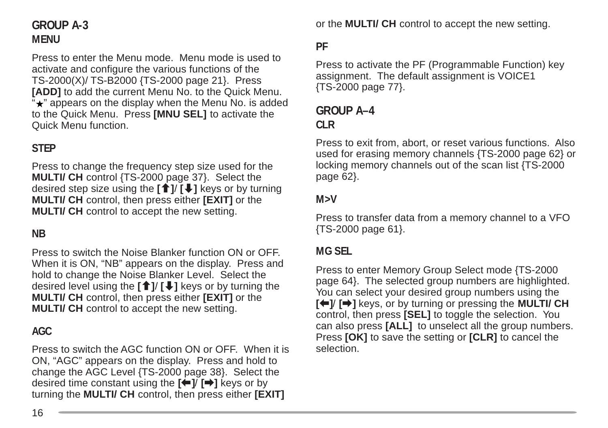## **GROUP A-3 MENU**

Press to enter the Menu mode. Menu mode is used to activate and configure the various functions of the TS-2000(X)/ TS-B2000 {TS-2000 page 21}. Press **[ADD]** to add the current Menu No. to the Quick Menu.  $\overleftrightarrow{ }$  appears on the display when the Menu No. is added to the Quick Menu. Press **[MNU SEL]** to activate the Quick Menu function.

### **STEP**

Press to change the frequency step size used for the **MULTI/ CH** control {TS-2000 page 37}. Select the desired step size using the **[**c**]**/ **[**d**]** keys or by turning **MULTI/ CH** control, then press either **[EXIT]** or the **MULTI/ CH** control to accept the new setting.

#### **NB**

Press to switch the Noise Blanker function ON or OFF. When it is ON, "NB" appears on the display. Press and hold to change the Noise Blanker Level. Select the desired level using the **[**c**]**/ **[**d**]** keys or by turning the **MULTI/ CH** control, then press either **[EXIT]** or the **MULTI/ CH** control to accept the new setting.

#### **AGC**

Press to switch the AGC function ON or OFF. When it is ON, "AGC" appears on the display. Press and hold to change the AGC Level {TS-2000 page 38}. Select the desired time constant using the  $[\triangle]$   $[\triangle]$  keys or by turning the **MULTI/ CH** control, then press either **[EXIT]**

or the **MULTI/ CH** control to accept the new setting.

#### **PF**

Press to activate the PF (Programmable Function) key assignment. The default assignment is VOICE1 {TS-2000 page 77}.

#### **GROUP A–4 CLR**

Press to exit from, abort, or reset various functions. Also used for erasing memory channels {TS-2000 page 62} or locking memory channels out of the scan list {TS-2000 page 62}.

#### **M>V**

Press to transfer data from a memory channel to a VFO {TS-2000 page 61}.

#### **MG SEL**

Press to enter Memory Group Select mode {TS-2000 page 64}. The selected group numbers are highlighted. You can select your desired group numbers using the **[←]** keys, or by turning or pressing the **MULTI/ CH** control, then press **[SEL]** to toggle the selection. You can also press **[ALL]** to unselect all the group numbers. Press **[OK]** to save the setting or **[CLR]** to cancel the selection.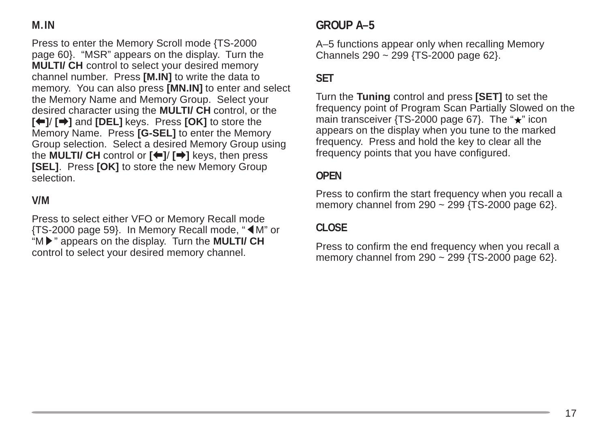## **M.IN**

Press to enter the Memory Scroll mode {TS-2000 page 60}. "MSR" appears on the display. Turn the **MULTI/ CH** control to select your desired memory channel number. Press **[M.IN]** to write the data to memory. You can also press **[MN.IN]** to enter and select the Memory Name and Memory Group. Select your desired character using the **MULTI/ CH** control, or the **[**b**]**/ **[**a**]** and **[DEL]** keys. Press **[OK]** to store the Memory Name. Press **[G-SEL]** to enter the Memory Group selection. Select a desired Memory Group using the **MULTI/ CH** control or **[**b**]**/ **[**a**]** keys, then press **[SEL]**. Press **[OK]** to store the new Memory Group selection.

#### **V/M**

Press to select either VFO or Memory Recall mode  $\{TS-2000 \text{ page } 59\}$ . In Memory Recall mode, " $\blacktriangleleft M$ " or "M $\blacktriangleright$ " appears on the display. Turn the **MULTI/ CH** control to select your desired memory channel.

## **GROUP A–5**

A–5 functions appear only when recalling Memory Channels 290 ~ 299 {TS-2000 page 62}.

## **SET**

Turn the **Tuning** control and press **[SET]** to set the frequency point of Program Scan Partially Slowed on the main transceiver {TS-2000 page 67}. The " $\star$ " icon appears on the display when you tune to the marked frequency. Press and hold the key to clear all the frequency points that you have configured.

#### **OPEN**

Press to confirm the start frequency when you recall a memory channel from  $290 \sim 299$  {TS-2000 page 62}.

#### **CLOSE**

Press to confirm the end frequency when you recall a memory channel from  $290 \sim 299$  {TS-2000 page 62}.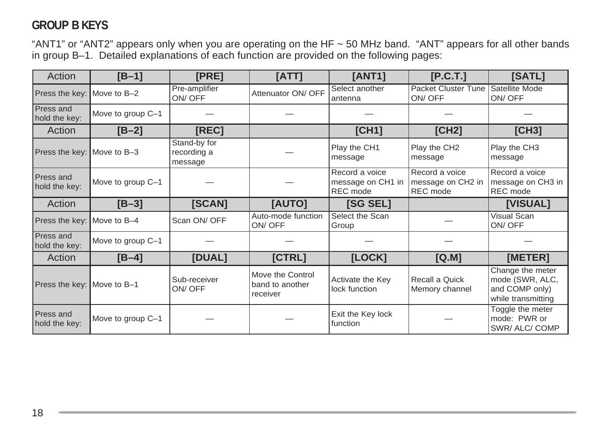## **GROUP B KEYS**

"ANT1" or "ANT2" appears only when you are operating on the HF ~ 50 MHz band. "ANT" appears for all other bands in group B–1. Detailed explanations of each function are provided on the following pages:

| Action                            | $[B-1]$           | [PRE]                                  | [ATT]                                           | <b>[ANT1]</b>                                   | [P.C.T.]                                        | [SATL]                                                                      |
|-----------------------------------|-------------------|----------------------------------------|-------------------------------------------------|-------------------------------------------------|-------------------------------------------------|-----------------------------------------------------------------------------|
| Press the key: Move to B-2        |                   | Pre-amplifier<br>ON/OFF                | Attenuator ON/ OFF                              | Select another<br>antenna                       | <b>Packet Cluster Tune</b><br>ON/OFF            | Satellite Mode<br>ON/OFF                                                    |
| Press and<br>hold the key:        | Move to group C-1 |                                        |                                                 |                                                 |                                                 |                                                                             |
| Action                            | $[B-2]$           | [REC]                                  |                                                 | [CH1]                                           | [CH2]                                           | [CH3]                                                                       |
| Press the key: Move to B-3        |                   | Stand-by for<br>recording a<br>message |                                                 | Play the CH1<br>message                         | Play the CH2<br>message                         | Play the CH3<br>message                                                     |
| <b>Press and</b><br>hold the key: | Move to group C-1 |                                        |                                                 | Record a voice<br>message on CH1 in<br>REC mode | Record a voice<br>message on CH2 in<br>REC mode | Record a voice<br>message on CH3 in<br>REC mode                             |
| Action                            | $[B-3]$           | [SCAN]                                 | [AUTO]                                          | <b>ISG SELI</b>                                 |                                                 | [VISUAL]                                                                    |
| Press the key: Move to B-4        |                   | Scan ON/ OFF                           | Auto-mode function<br>ON/OFF                    | Select the Scan<br>Group                        |                                                 | Visual Scan<br>ON/OFF                                                       |
| Press and<br>hold the key:        | Move to group C-1 |                                        |                                                 |                                                 |                                                 |                                                                             |
| Action                            | $[B-4]$           | [DUAL]                                 | [CFRL]                                          | [LOCK]                                          | [Q.M]                                           | [METER]                                                                     |
| Press the key: Move to B-1        |                   | Sub-receiver<br>ON/OFF                 | Move the Control<br>band to another<br>receiver | Activate the Key<br>lock function               | Recall a Quick<br>Memory channel                | Change the meter<br>mode (SWR, ALC,<br>and COMP only)<br>while transmitting |
| Press and<br>hold the key:        | Move to group C-1 |                                        |                                                 | Exit the Key lock<br>function                   |                                                 | Toggle the meter<br>mode: PWR or<br>SWR/ALC/COMP                            |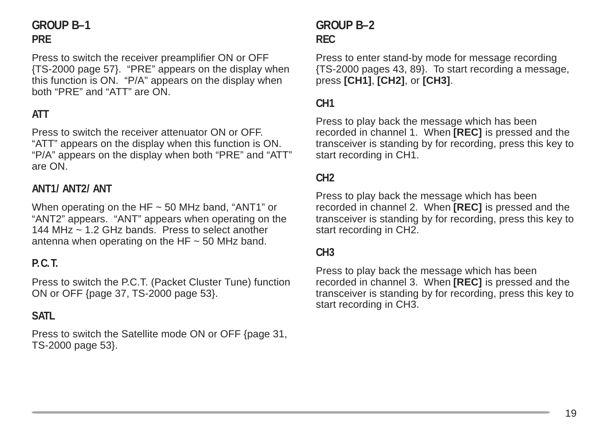## **GROUP B–1 PRE**

Press to switch the receiver preamplifier ON or OFF {TS-2000 page 57}. "PRE" appears on the display when this function is ON. "P/A" appears on the display when both "PRE" and "ATT" are ON.

## **ATT**

Press to switch the receiver attenuator ON or OFF. "ATT" appears on the display when this function is ON. "P/A" appears on the display when both "PRE" and "ATT" are ON.

#### **ANT1/ ANT2/ ANT**

When operating on the HF  $\sim$  50 MHz band, "ANT1" or "ANT2" appears. "ANT" appears when operating on the 144 MHz ~ 1.2 GHz bands. Press to select another antenna when operating on the HF  $\sim$  50 MHz band.

#### **P.C.T.**

Press to switch the P.C.T. (Packet Cluster Tune) function ON or OFF {page 37, TS-2000 page 53}.

#### **SATL**

Press to switch the Satellite mode ON or OFF {page 31, TS-2000 page 53}.

## **GROUP B–2 REC**

Press to enter stand-by mode for message recording {TS-2000 pages 43, 89}. To start recording a message, press **[CH1]**, **[CH2]**, or **[CH3]**.

#### **CH1**

Press to play back the message which has been recorded in channel 1. When **[REC]** is pressed and the transceiver is standing by for recording, press this key to start recording in CH1.

#### **CH2**

Press to play back the message which has been recorded in channel 2. When **[REC]** is pressed and the transceiver is standing by for recording, press this key to start recording in CH2.

#### **CH3**

Press to play back the message which has been recorded in channel 3. When **[REC]** is pressed and the transceiver is standing by for recording, press this key to start recording in CH3.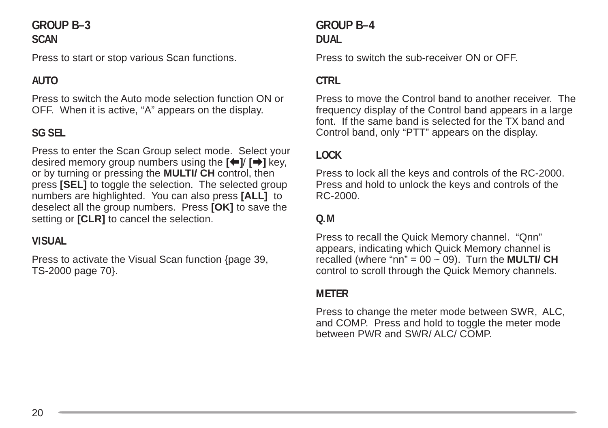#### **GROUP B–3 SCAN**

Press to start or stop various Scan functions.

## **AUTO**

Press to switch the Auto mode selection function ON or OFF. When it is active, "A" appears on the display.

## **SG SEL**

Press to enter the Scan Group select mode. Select your desired memory group numbers using the  $[\triangleleft]$   $[\triangleleft]$  key, or by turning or pressing the **MULTI/ CH** control, then press **[SEL]** to toggle the selection. The selected group numbers are highlighted. You can also press **[ALL]** to deselect all the group numbers. Press **[OK]** to save the setting or **[CLR]** to cancel the selection.

#### **VISUAL**

Press to activate the Visual Scan function {page 39, TS-2000 page 70}.

#### **GROUP B–4 DUAL**

Press to switch the sub-receiver ON or OFF.

#### **CTRL**

Press to move the Control band to another receiver. The frequency display of the Control band appears in a large font. If the same band is selected for the TX band and Control band, only "PTT" appears on the display.

#### **LOCK**

Press to lock all the keys and controls of the RC-2000. Press and hold to unlock the keys and controls of the RC-2000.

#### **Q.M**

Press to recall the Quick Memory channel. "Qnn" appears, indicating which Quick Memory channel is recalled (where "nn" =  $00 \sim 09$ ). Turn the **MULTI/ CH** control to scroll through the Quick Memory channels.

#### **METER**

Press to change the meter mode between SWR, ALC, and COMP. Press and hold to toggle the meter mode between PWR and SWR/ ALC/ COMP.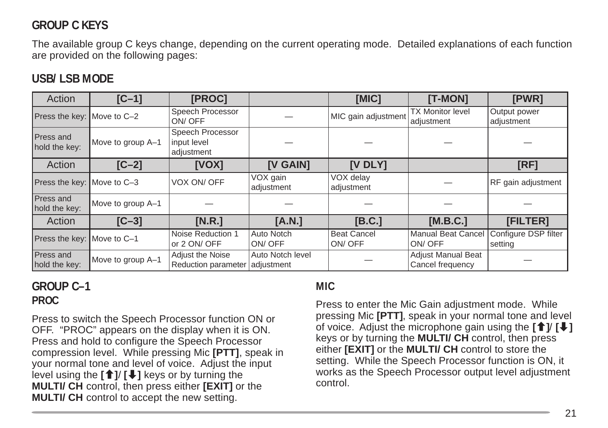## **GROUP C KEYS**

The available group C keys change, depending on the current operating mode. Detailed explanations of each function are provided on the following pages:

## **USB/ LSB MODE**

| Action                     | $[C-1]$           | [PROC]                                        |                                | [MIC]                        | [T-MON]                                       | [PWR]                           |
|----------------------------|-------------------|-----------------------------------------------|--------------------------------|------------------------------|-----------------------------------------------|---------------------------------|
| Press the key: Move to C-2 |                   | Speech Processor<br>ON/OFF                    |                                | MIC gain adjustment          | <b>TX Monitor level</b><br>adjustment         | Output power<br>adjustment      |
| Press and<br>hold the key: | Move to group A-1 | Speech Processor<br>input level<br>adjustment |                                |                              |                                               |                                 |
| Action                     | $[C-2]$           | [VOX]                                         | [V GAIN]                       | $[V$ DLY $]$                 |                                               | [RF]                            |
| Press the key: Move to C-3 |                   | VOX ON/ OFF                                   | VOX gain<br>adjustment         | VOX delay<br>adjustment      |                                               | RF gain adjustment              |
| Press and<br>hold the key: | Move to group A-1 |                                               |                                |                              |                                               |                                 |
| Action                     | $[C-3]$           | [N.R.]                                        | [A.N.]                         | [B.C.]                       | [M.B.C.]                                      | [FILTER]                        |
| Press the key: Move to C-1 |                   | Noise Reduction 1<br>or 2 ON/ OFF             | Auto Notch<br>ON/OFF           | <b>Beat Cancel</b><br>ON/OFF | <b>Manual Beat Cancel</b><br>ON/OFF           | Configure DSP filter<br>setting |
| Press and<br>hold the key: | Move to group A-1 | Adjust the Noise<br>Reduction parameter       | Auto Notch level<br>adjustment |                              | <b>Adjust Manual Beat</b><br>Cancel frequency |                                 |

#### **GROUP C–1 PROC**

Press to switch the Speech Processor function ON or OFF. "PROC" appears on the display when it is ON. Press and hold to configure the Speech Processor compression level. While pressing Mic **[PTT]**, speak in your normal tone and level of voice. Adjust the input level using the **[**c**]**/ **[**d**]** keys or by turning the **MULTI/ CH** control, then press either **[EXIT]** or the **MULTI/ CH** control to accept the new setting.

#### **MIC**

Press to enter the Mic Gain adjustment mode. While pressing Mic **[PTT]**, speak in your normal tone and level of voice. Adjust the microphone gain using the  $\left[\begin{array}{c} \uparrow \\ \downarrow \end{array}\right]$ keys or by turning the **MULTI/ CH** control, then press either **[EXIT]** or the **MULTI/ CH** control to store the setting. While the Speech Processor function is ON, it works as the Speech Processor output level adjustment control.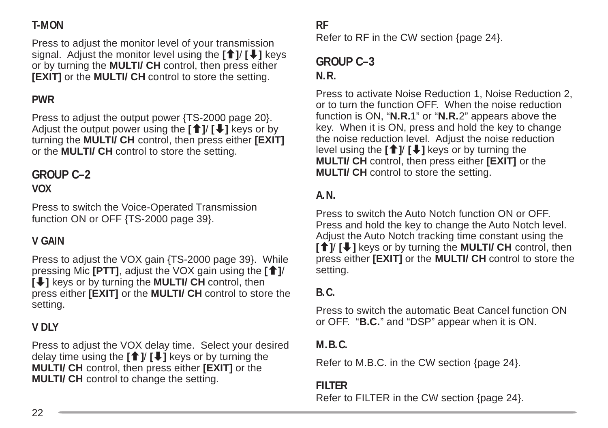## **T-MON**

Press to adjust the monitor level of your transmission signal. Adjust the monitor level using the **[**c**]**/ **[**d**]** keys or by turning the **MULTI/ CH** control, then press either **[EXIT]** or the **MULTI/ CH** control to store the setting.

## **PWR**

Press to adjust the output power {TS-2000 page 20}. Adjust the output power using the **[**c**]**/ **[**d**]** keys or by turning the **MULTI/ CH** control, then press either **[EXIT]** or the **MULTI/ CH** control to store the setting.

## **GROUP C–2**

#### **VOX**

Press to switch the Voice-Operated Transmission function ON or OFF {TS-2000 page 39}.

#### **V GAIN**

Press to adjust the VOX gain {TS-2000 page 39}. While pressing Mic **[PTT]**, adjust the VOX gain using the **[**c**]**/ **[** $\bigcup$ **]** keys or by turning the **MULTI/ CH** control, then press either **[EXIT]** or the **MULTI/ CH** control to store the setting.

## **V DLY**

Press to adjust the VOX delay time. Select your desired delay time using the  $[\hat{\mathbf{f}}] / [\hat{\mathbf{f}}]$  keys or by turning the **MULTI/ CH** control, then press either **[EXIT]** or the **MULTI/ CH** control to change the setting.

#### **RF**

Refer to RF in the CW section {page 24}.

#### **GROUP C–3 N.R.**

Press to activate Noise Reduction 1, Noise Reduction 2, or to turn the function OFF. When the noise reduction function is ON, "**N.R.**1" or "**N.R.**2" appears above the key. When it is ON, press and hold the key to change the noise reduction level. Adjust the noise reduction level using the  $[\hat{\mathbf{f}}]$ /  $[\hat{\mathbf{f}}]$  keys or by turning the **MULTI/ CH** control, then press either **[EXIT]** or the **MULTI/ CH** control to store the setting.

## **A.N.**

Press to switch the Auto Notch function ON or OFF. Press and hold the key to change the Auto Notch level. Adjust the Auto Notch tracking time constant using the **[**<sup>↑</sup>/  $[$   $\bullet$   $]$  keys or by turning the **MULTI/ CH** control, then press either **[EXIT]** or the **MULTI/ CH** control to store the setting.

#### **B.C.**

Press to switch the automatic Beat Cancel function ON or OFF. "**B.C.**" and "DSP" appear when it is ON.

#### **M.B.C.**

Refer to M.B.C. in the CW section {page 24}.

#### **FILTER**

Refer to FILTER in the CW section {page 24}.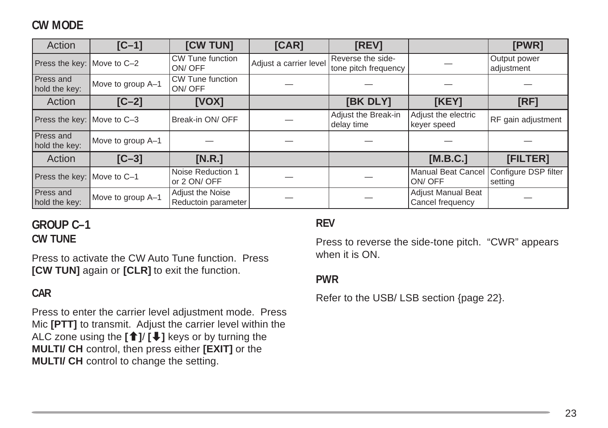## **CW MODE**

| Action                     | $[C-1]$           | [CW TUN]                                | [CAR]                  | [REV]                                     |                                        | [PWR]                           |
|----------------------------|-------------------|-----------------------------------------|------------------------|-------------------------------------------|----------------------------------------|---------------------------------|
| Press the key: Move to C-2 |                   | CW Tune function<br>ON/OFF              | Adjust a carrier level | Reverse the side-<br>tone pitch frequency |                                        | Output power<br>adjustment      |
| Press and<br>hold the key: | Move to group A-1 | <b>CW Tune function</b><br>ON/OFF       |                        |                                           |                                        |                                 |
| Action                     | $[C-2]$           | [VOX]                                   |                        | [BK DLY]                                  | [KEY]                                  | <b>IRF1</b>                     |
| Press the key: Move to C-3 |                   | Break-in ON/ OFF                        |                        | Adjust the Break-in<br>delay time         | Adjust the electric<br>keyer speed     | RF gain adjustment              |
| Press and<br>hold the key: | Move to group A-1 |                                         |                        |                                           |                                        |                                 |
| Action                     | $[C-3]$           | [N.R.]                                  |                        |                                           | [M.B.C.]                               | [FILTER]                        |
| Press the key: Move to C-1 |                   | Noise Reduction 1<br>or 2 ON/ OFF       |                        |                                           | <b>Manual Beat Cancel</b><br>ON/OFF    | Configure DSP filter<br>setting |
| Press and<br>hold the key: | Move to group A-1 | Adjust the Noise<br>Reductoin parameter |                        |                                           | Adjust Manual Beat<br>Cancel frequency |                                 |

## **GROUP C–1 CW TUNE**

Press to activate the CW Auto Tune function. Press **[CW TUN]** again or **[CLR]** to exit the function.

#### **CAR**

Press to enter the carrier level adjustment mode. Press Mic **[PTT]** to transmit. Adjust the carrier level within the ALC zone using the **[**c**]**/ **[**d**]** keys or by turning the **MULTI/ CH** control, then press either **[EXIT]** or the **MULTI/ CH** control to change the setting.

#### **REV**

Press to reverse the side-tone pitch. "CWR" appears when it is ON.

#### **PWR**

Refer to the USB/ LSB section {page 22}.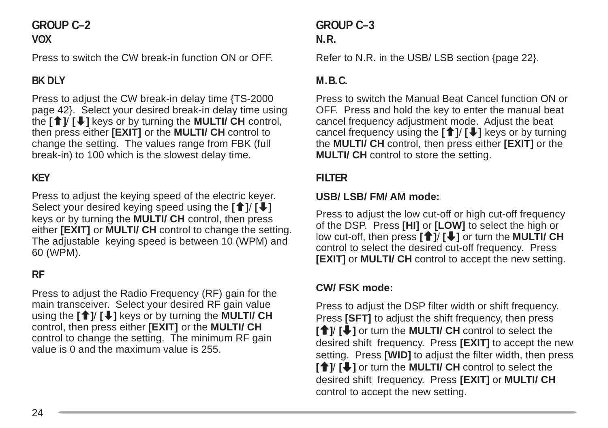#### **GROUP C–2 VOX**

Press to switch the CW break-in function ON or OFF.

## **BK DLY**

Press to adjust the CW break-in delay time {TS-2000 page 42}. Select your desired break-in delay time using the **[**c**]**/ **[**d**]** keys or by turning the **MULTI/ CH** control, then press either **[EXIT]** or the **MULTI/ CH** control to change the setting. The values range from FBK (full break-in) to 100 which is the slowest delay time.

## **KEY**

Press to adjust the keying speed of the electric keyer. Select your desired keying speed using the **[**c**]**/ **[**d**]** keys or by turning the **MULTI/ CH** control, then press either **[EXIT]** or **MULTI/ CH** control to change the setting. The adjustable keying speed is between 10 (WPM) and 60 (WPM).

## **RF**

Press to adjust the Radio Frequency (RF) gain for the main transceiver. Select your desired RF gain value using the **[**c**]**/ **[**d**]** keys or by turning the **MULTI/ CH** control, then press either **[EXIT]** or the **MULTI/ CH** control to change the setting. The minimum RF gain value is 0 and the maximum value is 255.

## **GROUP C–3 N.R.**

Refer to N.R. in the USB/ LSB section {page 22}.

#### **M.B.C.**

Press to switch the Manual Beat Cancel function ON or OFF. Press and hold the key to enter the manual beat cancel frequency adjustment mode. Adjust the beat cancel frequency using the **[**c**]**/ **[**d**]** keys or by turning the **MULTI/ CH** control, then press either **[EXIT]** or the **MULTI/ CH** control to store the setting.

#### **FILTER**

#### **USB/ LSB/ FM/ AM mode:**

Press to adjust the low cut-off or high cut-off frequency of the DSP. Press **[HI]** or **[LOW]** to select the high or low cut-off, then press **[**c**]**/ **[**d**]** or turn the **MULTI/ CH** control to select the desired cut-off frequency. Press **[EXIT]** or **MULTI/ CH** control to accept the new setting.

#### **CW/ FSK mode:**

Press to adjust the DSP filter width or shift frequency. Press **[SFT]** to adjust the shift frequency, then press **[**<sup>↑</sup>] or turn the **MULTI/ CH** control to select the desired shift frequency. Press **[EXIT]** to accept the new setting. Press **[WID]** to adjust the filter width, then press **[**<sup>1</sup>/  $\bullet$  ] or turn the **MULTI/ CH** control to select the desired shift frequency. Press **[EXIT]** or **MULTI/ CH** control to accept the new setting.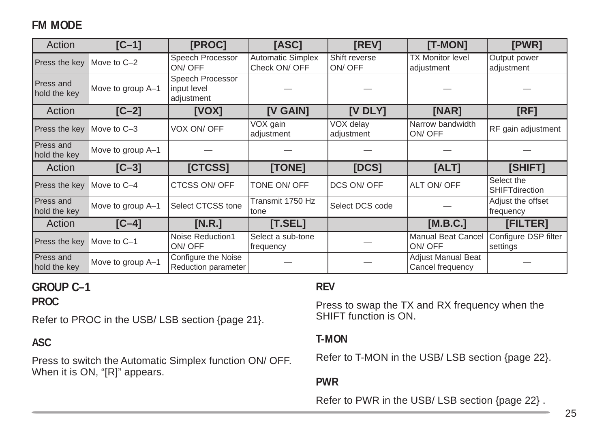## **FM MODE**

| Action                    | $[C-1]$           | [PROC]                                        | [ASC]                                     | [REV]                   | [T-MON]                                       | [PWR]                               |
|---------------------------|-------------------|-----------------------------------------------|-------------------------------------------|-------------------------|-----------------------------------------------|-------------------------------------|
| Press the key             | Move to C-2       | Speech Processor<br>ON/OFF                    | <b>Automatic Simplex</b><br>Check ON/ OFF | Shift reverse<br>ON/OFF | <b>TX Monitor level</b><br>adjustment         | Output power<br>adjustment          |
| Press and<br>hold the key | Move to group A-1 | Speech Processor<br>input level<br>adjustment |                                           |                         |                                               |                                     |
| Action                    | $IC-21$           | [VOX]                                         | <b>IV GAIN1</b>                           | <b>IV DLY1</b>          | [NAR]                                         | [RF]                                |
| Press the key             | Move to C-3       | VOX ON/ OFF                                   | VOX gain<br>adjustment                    | VOX delay<br>adjustment | Narrow bandwidth<br>ON/OFF                    | RF gain adjustment                  |
| Press and<br>hold the key | Move to group A-1 |                                               |                                           |                         |                                               |                                     |
| Action                    | $[C-3]$           | [CTCSS]                                       | [TONE]                                    | [DCS]                   | [ALT]                                         | [SHIFT]                             |
| Press the key             | Move to C-4       | CTCSS ON/ OFF                                 | TONE ON/ OFF                              | DCS ON/ OFF             | ALT ON/ OFF                                   | Select the<br><b>SHIFTdirection</b> |
| Press and<br>hold the key | Move to group A-1 | Select CTCSS tone                             | Transmit 1750 Hz<br>tone                  | Select DCS code         |                                               | Adjust the offset<br>frequency      |
| Action                    | $[C-4]$           | [N.R.]                                        | [T. SEL]                                  |                         | [M.B.C.]                                      | [FILTER]                            |
| Press the key             | Move to C-1       | Noise Reduction1<br>ON/OFF                    | Select a sub-tone<br>frequency            |                         | <b>Manual Beat Cancel</b><br>ON/OFF           | Configure DSP filter<br>settings    |
| Press and<br>hold the key | Move to group A-1 | Configure the Noise<br>Reduction parameter    |                                           |                         | <b>Adjust Manual Beat</b><br>Cancel frequency |                                     |

#### **GROUP C–1 PROC**

Refer to PROC in the USB/ LSB section {page 21}.

#### **ASC**

Press to switch the Automatic Simplex function ON/ OFF. When it is ON, "[R]" appears.

#### **REV**

Press to swap the TX and RX frequency when the SHIFT function is ON.

#### **T-MON**

Refer to T-MON in the USB/ LSB section {page 22}.

#### **PWR**

Refer to PWR in the USB/ LSB section {page 22} .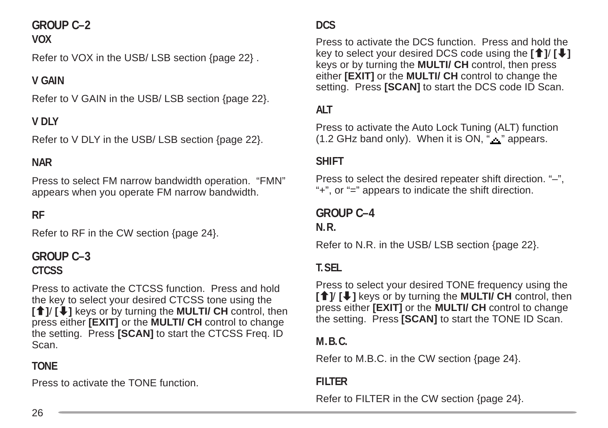## **GROUP C–2**

#### **VOX**

Refer to VOX in the USB/ LSB section {page 22} .

## **V GAIN**

Refer to V GAIN in the USB/ LSB section {page 22}.

## **V DLY**

Refer to V DLY in the USB/ LSB section {page 22}.

## **NAR**

Press to select FM narrow bandwidth operation. "FMN" appears when you operate FM narrow bandwidth.

### **RF**

Refer to RF in the CW section {page 24}.

## **GROUP C–3 CTCSS**

Press to activate the CTCSS function. Press and hold the key to select your desired CTCSS tone using the **[**c**]**/ **[**d**]** keys or by turning the **MULTI/ CH** control, then press either **[EXIT]** or the **MULTI/ CH** control to change the setting. Press **[SCAN]** to start the CTCSS Freq. ID Scan.

## **TONE**

Press to activate the TONE function.

#### **DCS**

Press to activate the DCS function. Press and hold the key to select your desired DCS code using the **[**c**]**/ **[**d**]** keys or by turning the **MULTI/ CH** control, then press either **[EXIT]** or the **MULTI/ CH** control to change the setting. Press **[SCAN]** to start the DCS code ID Scan.

#### **ALT**

Press to activate the Auto Lock Tuning (ALT) function  $(1.2$  GHz band only). When it is ON, " $\mathbf{r}$ " appears.

#### **SHIFT**

Press to select the desired repeater shift direction. "–", "+", or "=" appears to indicate the shift direction.

#### **GROUP C–4 N.R.**

Refer to N.R. in the USB/ LSB section {page 22}.

### **T.SEL**

Press to select your desired TONE frequency using the **[**<sup>↑</sup>/  $[$   $\bullet$   $]$  keys or by turning the **MULTI/ CH** control, then press either **[EXIT]** or the **MULTI/ CH** control to change the setting. Press **[SCAN]** to start the TONE ID Scan.

#### **M.B.C.**

Refer to M.B.C. in the CW section {page 24}.

#### **FILTER**

Refer to FILTER in the CW section {page 24}.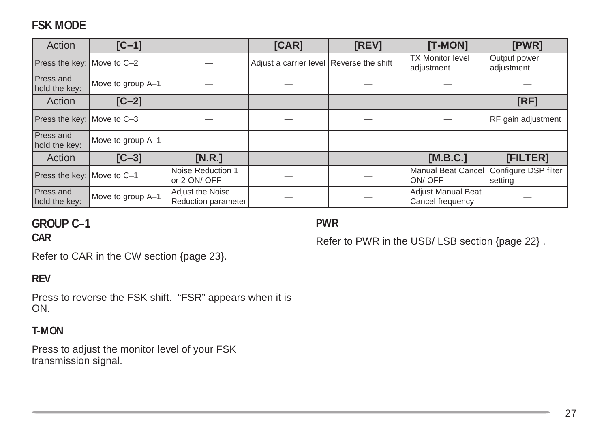## **FSK MODE**

| Action                            | $[C-1]$           |                                         | [CAR]                                    | [REV] | [T-MON]                                       | [PWR]                           |
|-----------------------------------|-------------------|-----------------------------------------|------------------------------------------|-------|-----------------------------------------------|---------------------------------|
| Press the key: Move to C-2        |                   |                                         | Adjust a carrier level Reverse the shift |       | <b>TX Monitor level</b><br>adjustment         | Output power<br>adjustment      |
| Press and<br>hold the key:        | Move to group A-1 |                                         |                                          |       |                                               |                                 |
| Action                            | $[C-2]$           |                                         |                                          |       |                                               | [RF]                            |
| Press the key: Move to C-3        |                   |                                         |                                          |       |                                               | RF gain adjustment              |
| <b>Press and</b><br>hold the key: | Move to group A-1 |                                         |                                          |       |                                               |                                 |
| Action                            | $[C-3]$           | [N.R.]                                  |                                          |       | [M.B.C.]                                      | [FILTER]                        |
| Press the key: Move to C-1        |                   | Noise Reduction 1<br>or 2 ON/ OFF       |                                          |       | <b>Manual Beat Cancel</b><br>ON/OFF           | Configure DSP filter<br>setting |
| <b>Press and</b><br>hold the key: | Move to group A-1 | Adjust the Noise<br>Reduction parameter |                                          |       | <b>Adjust Manual Beat</b><br>Cancel frequency |                                 |

## **GROUP C–1**

**CAR**

**PWR**

Refer to CAR in the CW section {page 23}.

#### **REV**

Press to reverse the FSK shift. "FSR" appears when it is ON.

#### **T-MON**

Press to adjust the monitor level of your FSK transmission signal.

#### Refer to PWR in the USB/ LSB section {page 22} .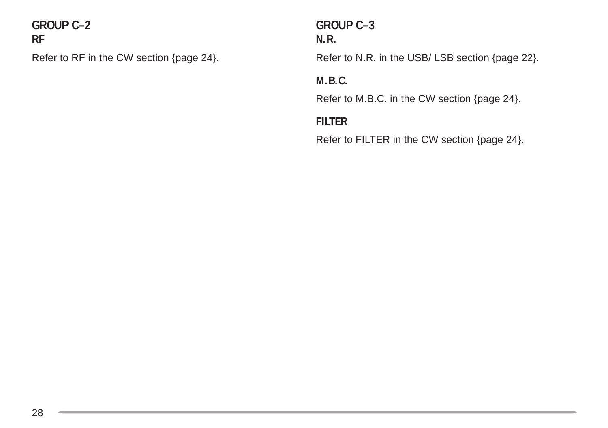**GROUP C–2 RF**

Refer to RF in the CW section {page 24}.

## **GROUP C–3 N.R.**

Refer to N.R. in the USB/ LSB section {page 22}.

### **M.B.C.**

Refer to M.B.C. in the CW section {page 24}.

### **FILTER**

Refer to FILTER in the CW section {page 24}.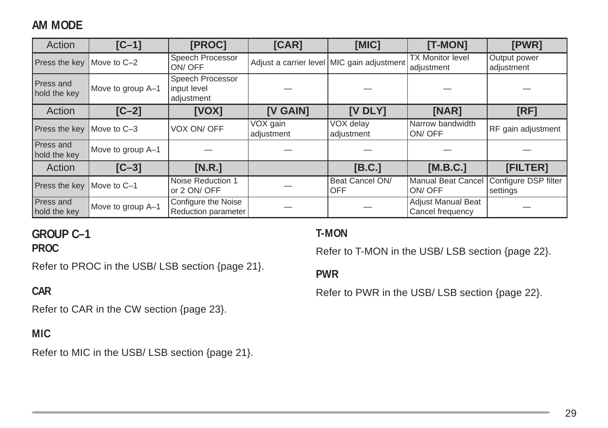## **AM MODE**

| Action                           | $[C-1]$           | [PROC]                                        | [CAR]                               | [MIC]                                      | [T-MON]                                       | [PWR]                            |
|----------------------------------|-------------------|-----------------------------------------------|-------------------------------------|--------------------------------------------|-----------------------------------------------|----------------------------------|
| Press the key   Move to C-2      |                   | Speech Processor<br>ON/OFF                    |                                     | Adjust a carrier level MIC gain adjustment | <b>TX Monitor level</b><br>adjustment         | Output power<br>adjustment       |
| <b>Press and</b><br>hold the key | Move to group A-1 | Speech Processor<br>input level<br>adjustment |                                     |                                            |                                               |                                  |
| Action                           | $[C-2]$           | [VOX]                                         | [V GAIN]                            | $[V$ DLY $]$                               | [NAR]                                         | [RF]                             |
| Press the key   Move to C-3      |                   | VOX ON/ OFF                                   | $\overline{V}OX$ gain<br>adjustment | VOX delay<br>adjustment                    | Narrow bandwidth<br>ON/OFF                    | RF gain adjustment               |
| Press and<br>hold the key        | Move to group A-1 |                                               |                                     |                                            |                                               |                                  |
| Action                           | $[C-3]$           | [N.R.]                                        |                                     | [B.C.]                                     | [M.B.C.]                                      | [FILTER]                         |
| Press the key                    | Move to C-1       | Noise Reduction 1<br>or 2 ON/ OFF             |                                     | Beat Cancel ON/<br><b>OFF</b>              | <b>Manual Beat Cancel</b><br>ON/OFF           | Configure DSP filter<br>settings |
| Press and<br>hold the key        | Move to group A-1 | Configure the Noise<br>Reduction parameter    |                                     |                                            | <b>Adjust Manual Beat</b><br>Cancel frequency |                                  |

## **GROUP C–1**

**PROC**

Refer to PROC in the USB/ LSB section {page 21}.

#### **CAR**

Refer to CAR in the CW section {page 23}.

#### **MIC**

Refer to MIC in the USB/ LSB section {page 21}.

#### **T-MON**

Refer to T-MON in the USB/ LSB section {page 22}.

#### **PWR**

Refer to PWR in the USB/ LSB section {page 22}.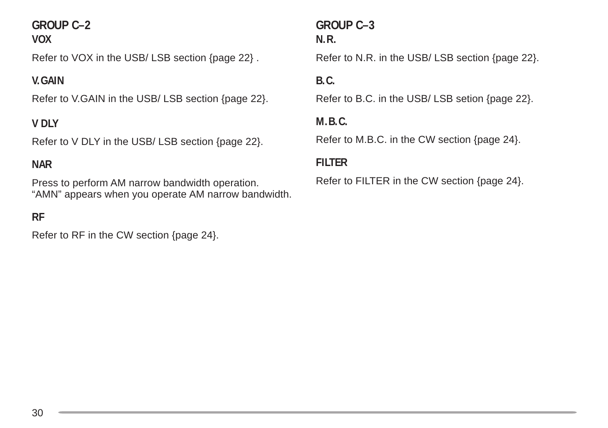## **GROUP C–2**

#### **VOX**

Refer to VOX in the USB/ LSB section {page 22} .

#### **V.GAIN**

Refer to V.GAIN in the USB/ LSB section {page 22}.

#### **V DLY**

Refer to V DLY in the USB/ LSB section {page 22}.

#### **NAR**

Press to perform AM narrow bandwidth operation. "AMN" appears when you operate AM narrow bandwidth.

#### **RF**

Refer to RF in the CW section {page 24}.

#### **GROUP C–3 N.R.**

Refer to N.R. in the USB/ LSB section {page 22}.

#### **B.C.**

Refer to B.C. in the USB/ LSB setion {page 22}.

#### **M.B.C.**

Refer to M.B.C. in the CW section {page 24}.

#### **FILTER**

Refer to FILTER in the CW section {page 24}.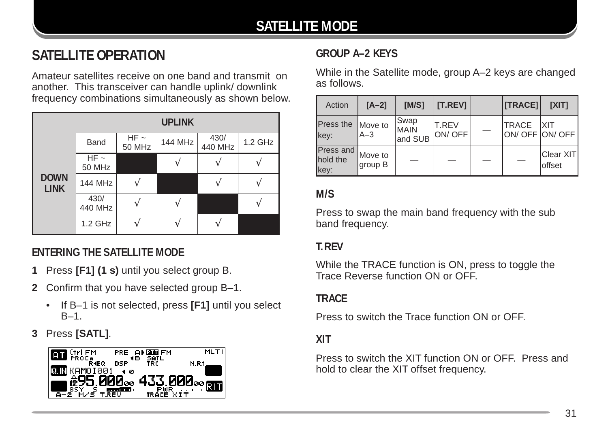## **SATELLITE MODE**

## **SATELLITE OPERATION**

Amateur satellites receive on one band and transmit on another. This transceiver can handle uplink/ downlink frequency combinations simultaneously as shown below.

|                            |                            | <b>UPLINK</b>       |         |                 |         |  |  |  |  |  |  |  |
|----------------------------|----------------------------|---------------------|---------|-----------------|---------|--|--|--|--|--|--|--|
|                            | Band                       | $HF \sim$<br>50 MHz | 144 MHz | 430/<br>440 MHz | 1.2 GHz |  |  |  |  |  |  |  |
|                            | $HF \sim$<br><b>50 MHz</b> |                     |         |                 |         |  |  |  |  |  |  |  |
| <b>DOWN</b><br><b>LINK</b> | <b>144 MHz</b>             |                     |         |                 |         |  |  |  |  |  |  |  |
|                            | 430/<br>440 MHz            |                     |         |                 |         |  |  |  |  |  |  |  |
|                            | 1.2 GHz                    |                     |         |                 |         |  |  |  |  |  |  |  |

### **ENTERING THE SATELLITE MODE**

- **1** Press **[F1] (1 s)** until you select group B.
- **2** Confirm that you have selected group B–1.
	- If B–1 is not selected, press **[F1]** until you select  $B-1$
- **3** Press **[SATL]**.



### **GROUP A–2 KEYS**

While in the Satellite mode, group A–2 keys are changed as follows.

| Action                        | $[A-2]$            | IM/S1                          | [T.REV]                       |                                 | [TRACE]                  | <b>TXIT1</b>                |
|-------------------------------|--------------------|--------------------------------|-------------------------------|---------------------------------|--------------------------|-----------------------------|
| Press the Move to<br>key:     | $A-3$              | Swap<br><b>MAIN</b><br>and SUB | <b>T.REV</b><br><b>ON/OFF</b> | $\hspace{0.1mm}-\hspace{0.1mm}$ | <b>TRACE</b>             | <b>XIT</b><br>ON/OFF ON/OFF |
| Press and<br>hold the<br>key: | Move to<br>group B | $\overline{\phantom{a}}$       |                               |                                 | $\overline{\phantom{0}}$ | Clear XIT<br>offset         |

#### **M/S**

Press to swap the main band frequency with the sub band frequency.

#### **T.REV**

While the TRACE function is ON, press to toggle the Trace Reverse function ON or OFF.

#### **TRACE**

Press to switch the Trace function ON or OFF.

#### **XIT**

Press to switch the XIT function ON or OFF. Press and hold to clear the XIT offset frequency.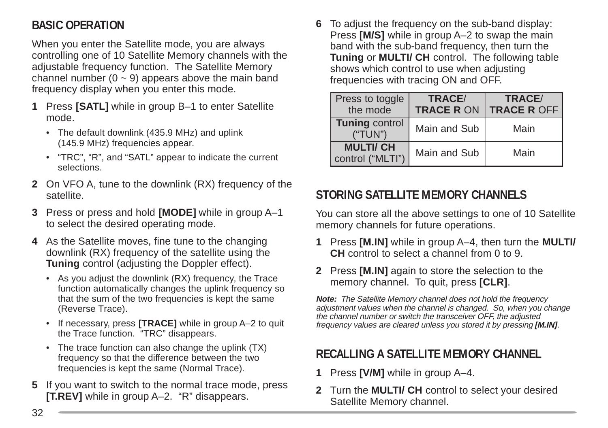## **BASIC OPERATION**

When you enter the Satellite mode, you are always controlling one of 10 Satellite Memory channels with the adjustable frequency function. The Satellite Memory channel number  $(0 - 9)$  appears above the main band frequency display when you enter this mode.

- **1** Press **[SATL]** while in group B–1 to enter Satellite mode.
	- The default downlink (435.9 MHz) and uplink (145.9 MHz) frequencies appear.
	- "TRC", "R", and "SATL" appear to indicate the current selections.
- **2** On VFO A, tune to the downlink (RX) frequency of the satellite.
- **3** Press or press and hold **[MODE]** while in group A–1 to select the desired operating mode.
- **4** As the Satellite moves, fine tune to the changing downlink (RX) frequency of the satellite using the **Tuning** control (adjusting the Doppler effect).
	- As you adjust the downlink (RX) frequency, the Trace function automatically changes the uplink frequency so that the sum of the two frequencies is kept the same (Reverse Trace).
	- If necessary, press **[TRACE]** while in group A–2 to quit the Trace function. "TRC" disappears.
	- The trace function can also change the uplink (TX) frequency so that the difference between the two frequencies is kept the same (Normal Trace).
- **5** If you want to switch to the normal trace mode, press **[T.REV]** while in group A–2. "R" disappears.

**6** To adjust the frequency on the sub-band display: Press **[M/S]** while in group A–2 to swap the main band with the sub-band frequency, then turn the **Tuning** or **MULTI/ CH** control. The following table shows which control to use when adjusting frequencies with tracing ON and OFF.

| Press to toggle<br>the mode         | TRACE/<br><b>TRACE R ON</b> | TRACE/<br><b>TRACE R OFF</b> |
|-------------------------------------|-----------------------------|------------------------------|
| <b>Tuning control</b><br>("TUN")    | Main and Sub                | Main                         |
| <b>MULTI/CH</b><br>control ("MLTI") | Main and Sub                | Main                         |

## **STORING SATELLITE MEMORY CHANNELS**

You can store all the above settings to one of 10 Satellite memory channels for future operations.

- **1** Press **[M.IN]** while in group A–4, then turn the **MULTI/ CH** control to select a channel from 0 to 9.
- **2** Press **[M.IN]** again to store the selection to the memory channel. To quit, press **[CLR]**.

**Note:** The Satellite Memory channel does not hold the frequency adjustment values when the channel is changed. So, when you change the channel number or switch the transceiver OFF, the adjusted frequency values are cleared unless you stored it by pressing **[M.IN]**.

## **RECALLING A SATELLITE MEMORY CHANNEL**

- **1** Press **[V/M]** while in group A–4.
- **2** Turn the **MULTI/ CH** control to select your desired Satellite Memory channel.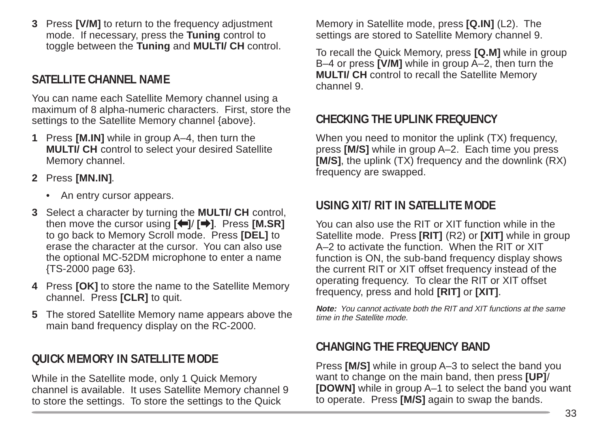**3** Press **[V/M]** to return to the frequency adjustment mode. If necessary, press the **Tuning** control to toggle between the **Tuning** and **MULTI/ CH** control.

## **SATELLITE CHANNEL NAME**

You can name each Satellite Memory channel using a maximum of 8 alpha-numeric characters. First, store the settings to the Satellite Memory channel {above}.

- **1** Press **[M.IN]** while in group A–4, then turn the **MULTI/ CH** control to select your desired Satellite Memory channel.
- **2** Press **[MN.IN]**.
	- An entry cursor appears.
- **3** Select a character by turning the **MULTI/ CH** control, then move the cursor using **[**[**]**/ **[**a**]**. Press **[M.SR]** to go back to Memory Scroll mode. Press **[DEL]** to erase the character at the cursor. You can also use the optional MC-52DM microphone to enter a name {TS-2000 page 63}.
- **4** Press **[OK]** to store the name to the Satellite Memory channel. Press **[CLR]** to quit.
- **5** The stored Satellite Memory name appears above the main band frequency display on the RC-2000.

## **QUICK MEMORY IN SATELLITE MODE**

While in the Satellite mode, only 1 Quick Memory channel is available. It uses Satellite Memory channel 9 to store the settings. To store the settings to the Quick

Memory in Satellite mode, press **[Q.IN]** (L2). The settings are stored to Satellite Memory channel 9.

To recall the Quick Memory, press **[Q.M]** while in group B–4 or press **[V/M]** while in group A–2, then turn the **MULTI** CH control to recall the Satellite Memory channel 9.

## **CHECKING THE UPLINK FREQUENCY**

When you need to monitor the uplink (TX) frequency, press **[M/S]** while in group A–2. Each time you press **[M/S]**, the uplink (TX) frequency and the downlink (RX) frequency are swapped.

## **USING XIT/ RIT IN SATELLITE MODE**

You can also use the RIT or XIT function while in the Satellite mode. Press **[RIT]** (R2) or **[XIT]** while in group A–2 to activate the function. When the RIT or XIT function is ON, the sub-band frequency display shows the current RIT or XIT offset frequency instead of the operating frequency. To clear the RIT or XIT offset frequency, press and hold **[RIT]** or **[XIT]**.

**Note:** You cannot activate both the RIT and XIT functions at the same time in the Satellite mode.

## **CHANGING THE FREQUENCY BAND**

Press **[M/S]** while in group A–3 to select the band you want to change on the main band, then press **[UP]**/ **[DOWN]** while in group A–1 to select the band you want to operate. Press **[M/S]** again to swap the bands.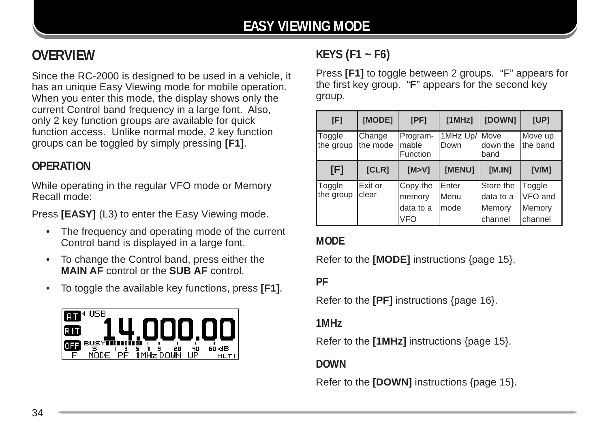## **OVERVIEW**

Since the RC-2000 is designed to be used in a vehicle, it has an unique Easy Viewing mode for mobile operation. When you enter this mode, the display shows only the current Control band frequency in a large font. Also, only 2 key function groups are available for quick function access. Unlike normal mode, 2 key function groups can be toggled by simply pressing **[F1]**.

## **OPERATION**

While operating in the regular VFO mode or Memory Recall mode:

Press **[EASY]** (L3) to enter the Easy Viewing mode.

- The frequency and operating mode of the current Control band is displayed in a large font.
- To change the Control band, press either the **MAIN AF** control or the **SUB AF** control.
- To toggle the available key functions, press **[F1]**.



## **KEYS (F1 ~ F6)**

Press **[F1]** to toggle between 2 groups. "F" appears for the first key group. "**F**" appears for the second key group.

| [F]                        | [MODE]             | [PF]                          | [1MHz]                | [DOWN]                 | [UP]                |
|----------------------------|--------------------|-------------------------------|-----------------------|------------------------|---------------------|
| <b>Toggle</b><br>the group | Change<br>the mode | Program-<br>mable<br>Function | 1MHz Up/ Move<br>Down | down the<br>band       | Move up<br>the band |
| [F]                        | [CLR]              | [M > V]                       | <b>IMENU1</b>         | [M.IN]                 | [V/M]               |
| <b>Toggle</b><br>the group | Exit or<br>clear   | Copy the<br>memory            | Enter<br>Menu         | Store the<br>data to a | Toggle<br>VFO and   |
|                            |                    | data to a<br><b>VFO</b>       | mode                  | Memory<br>channel      | Memory<br>channel   |

#### **MODE**

Refer to the **[MODE]** instructions {page 15}.

**PF**

Refer to the **[PF]** instructions {page 16}.

**1MHz**

Refer to the **[1MHz]** instructions {page 15}.

**DOWN**

Refer to the **[DOWN]** instructions {page 15}.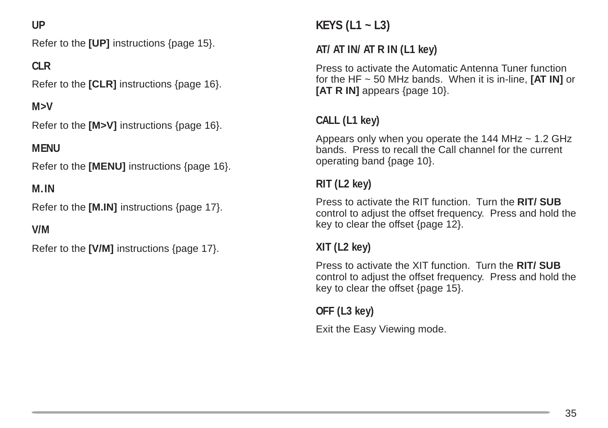#### **UP**

Refer to the **[UP]** instructions {page 15}.

#### **CLR**

Refer to the **[CLR]** instructions {page 16}.

**M>V**

Refer to the **[M>V]** instructions {page 16}.

#### **MENU**

Refer to the **[MENU]** instructions {page 16}.

#### **M.IN**

Refer to the **[M.IN]** instructions {page 17}.

#### **V/M**

Refer to the **[V/M]** instructions {page 17}.

## **KEYS (L1 ~ L3)**

#### **AT/ AT IN/ AT R IN (L1 key)**

Press to activate the Automatic Antenna Tuner function for the HF ~ 50 MHz bands. When it is in-line, **[AT IN]** or **[AT R IN]** appears {page 10}.

## **CALL (L1 key)**

Appears only when you operate the 144 MHz  $\sim$  1.2 GHz bands. Press to recall the Call channel for the current operating band {page 10}.

#### **RIT (L2 key)**

Press to activate the RIT function. Turn the **RIT/ SUB** control to adjust the offset frequency. Press and hold the key to clear the offset {page 12}.

#### **XIT (L2 key)**

Press to activate the XIT function. Turn the **RIT/ SUB** control to adjust the offset frequency. Press and hold the key to clear the offset {page 15}.

**OFF (L3 key)**

Exit the Easy Viewing mode.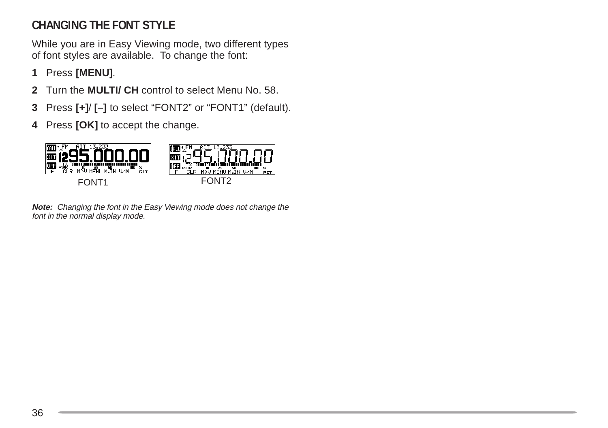## **CHANGING THE FONT STYLE**

While you are in Easy Viewing mode, two different types of font styles are available. To change the font:

- **1** Press **[MENU]**.
- **2** Turn the **MULTI/ CH** control to select Menu No. 58.
- **3** Press **[+]**/ **[–]** to select "FONT2" or "FONT1" (default).
- **4** Press **[OK]** to accept the change.



**Note:** Changing the font in the Easy Viewing mode does not change the font in the normal display mode.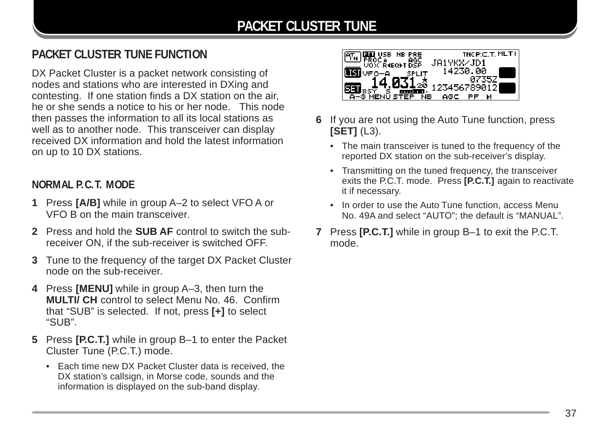## **PACKET CLUSTER TUNE FUNCTION**

DX Packet Cluster is a packet network consisting of nodes and stations who are interested in DXing and contesting. If one station finds a DX station on the air, he or she sends a notice to his or her node. This node then passes the information to all its local stations as well as to another node. This transceiver can display received DX information and hold the latest information on up to 10 DX stations.

#### **NORMAL P.C.T. MODE**

- **1** Press **[A/B]** while in group A–2 to select VFO A or VFO B on the main transceiver.
- **2** Press and hold the **SUB AF** control to switch the subreceiver ON, if the sub-receiver is switched OFF.
- **3** Tune to the frequency of the target DX Packet Cluster node on the sub-receiver.
- **4** Press **[MENU]** while in group A–3, then turn the **MULTI/ CH** control to select Menu No. 46. Confirm that "SUB" is selected. If not, press **[+]** to select "SUB".
- **5** Press **[P.C.T.]** while in group B–1 to enter the Packet Cluster Tune (P.C.T.) mode.
	- Each time new DX Packet Cluster data is received, the DX station's callsign, in Morse code, sounds and the information is displayed on the sub-band display.



- **6** If you are not using the Auto Tune function, press **[SET]** (L3).
	- The main transceiver is tuned to the frequency of the reported DX station on the sub-receiver's display.
	- Transmitting on the tuned frequency, the transceiver exits the P.C.T. mode. Press **[P.C.T.]** again to reactivate it if necessary.
	- In order to use the Auto Tune function, access Menu No. 49A and select "AUTO"; the default is "MANUAL".
- **7** Press **[P.C.T.]** while in group B–1 to exit the P.C.T. mode.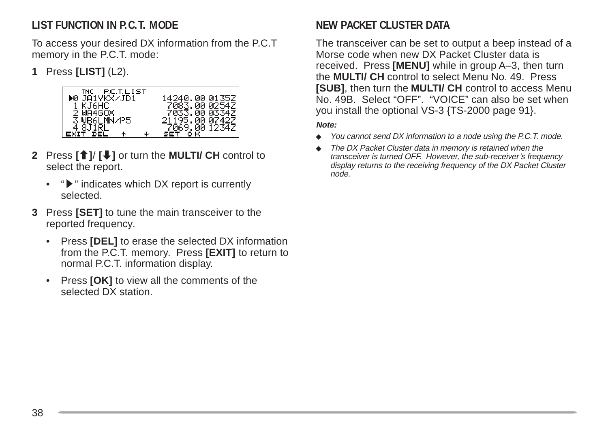## **LIST FUNCTION IN P.C.T. MODE**

To access your desired DX information from the P.C.T memory in the P.C.T. mode:

**1** Press **[LIST]** (L2).



- **2** Press **[**c**]**/ **[**d**]** or turn the **MULTI/ CH** control to select the report.
	- $\mathbf{P}$  " indicates which DX report is currently selected.
- **3** Press **[SET]** to tune the main transceiver to the reported frequency.
	- Press **[DEL]** to erase the selected DX information from the P.C.T. memory. Press **[EXIT]** to return to normal P.C.T. information display.
	- Press **[OK]** to view all the comments of the selected DX station.

## **NEW PACKET CLUSTER DATA**

The transceiver can be set to output a beep instead of a Morse code when new DX Packet Cluster data is received. Press **[MENU]** while in group A–3, then turn the **MULTI/ CH** control to select Menu No. 49. Press **[SUB]**, then turn the **MULTI/ CH** control to access Menu No. 49B. Select "OFF". "VOICE" can also be set when you install the optional VS-3 {TS-2000 page 91}.

#### **Note:**

- ◆ You cannot send DX information to a node using the P.C.T. mode.
- The DX Packet Cluster data in memory is retained when the transceiver is turned OFF. However, the sub-receiver's frequency display returns to the receiving frequency of the DX Packet Cluster node.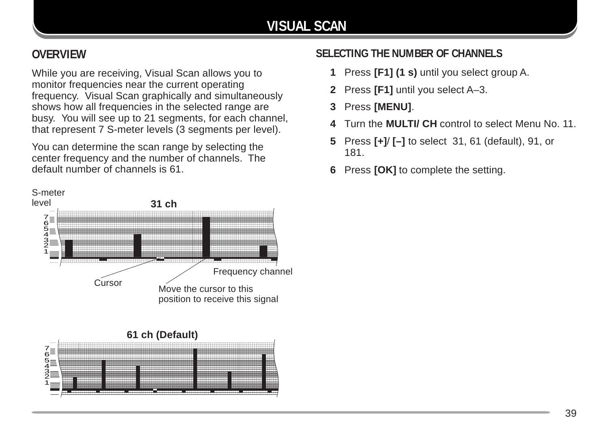## **VISUAL SCAN**

## **OVERVIEW**

While you are receiving, Visual Scan allows you to monitor frequencies near the current operating frequency. Visual Scan graphically and simultaneously shows how all frequencies in the selected range are busy. You will see up to 21 segments, for each channel, that represent 7 S-meter levels (3 segments per level).

You can determine the scan range by selecting the center frequency and the number of channels. The default number of channels is 61.





## **SELECTING THE NUMBER OF CHANNELS**

- **1** Press **[F1] (1 s)** until you select group A.
- **2** Press **[F1]** until you select A–3.
- **3** Press **[MENU]**.
- **4** Turn the **MULTI/ CH** control to select Menu No. 11.
- **5** Press **[+]**/ **[–]** to select 31, 61 (default), 91, or 181.
- **6** Press **[OK]** to complete the setting.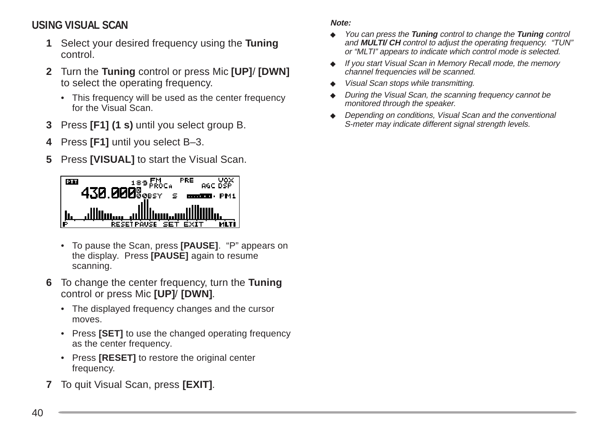#### **USING VISUAL SCAN**

- **1** Select your desired frequency using the **Tuning** control.
- **2** Turn the **Tuning** control or press Mic **[UP]**/ **[DWN]** to select the operating frequency.
	- This frequency will be used as the center frequency for the Visual Scan.
- **3** Press **[F1] (1 s)** until you select group B.
- **4** Press **[F1]** until you select B–3.
- **5** Press **[VISUAL]** to start the Visual Scan.



- To pause the Scan, press **[PAUSE]**. "P" appears on the display. Press **[PAUSE]** again to resume scanning.
- **6** To change the center frequency, turn the **Tuning** control or press Mic **[UP]**/ **[DWN]**.
	- The displayed frequency changes and the cursor moves.
	- Press **[SET]** to use the changed operating frequency as the center frequency.
	- Press **[RESET]** to restore the original center frequency.
- **7** To quit Visual Scan, press **[EXIT]**.

#### **Note:**

- ◆ You can press the **Tuning** control to change the **Tuning** control and **MULTI/ CH** control to adjust the operating frequency. "TUN" or "MLTI" appears to indicate which control mode is selected.
- ◆ If you start Visual Scan in Memory Recall mode, the memory channel frequencies will be scanned.
- ◆ Visual Scan stops while transmitting.
- During the Visual Scan, the scanning frequency cannot be monitored through the speaker.
- ◆ Depending on conditions, Visual Scan and the conventional S-meter may indicate different signal strength levels.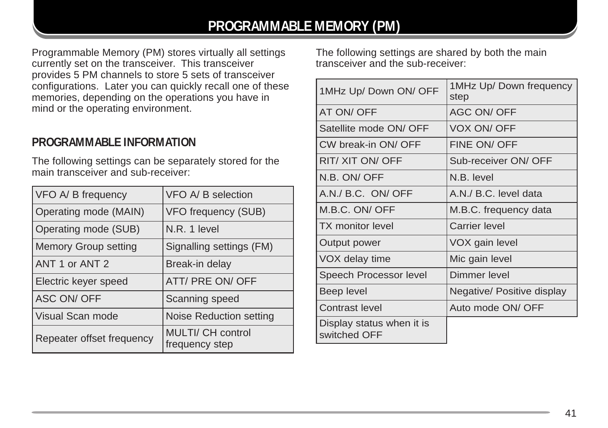## **PROGRAMMABLE MEMORY (PM)**

Programmable Memory (PM) stores virtually all settings currently set on the transceiver. This transceiver provides 5 PM channels to store 5 sets of transceiver configurations. Later you can quickly recall one of these memories, depending on the operations you have in mind or the operating environment.

#### **PROGRAMMABLE INFORMATION**

The following settings can be separately stored for the main transceiver and sub-receiver:

| VFO A/ B frequency          | VFO A/ B selection                  |
|-----------------------------|-------------------------------------|
| Operating mode (MAIN)       | VFO frequency (SUB)                 |
| Operating mode (SUB)        | N.R. 1 level                        |
| <b>Memory Group setting</b> | Signalling settings (FM)            |
| ANT 1 or ANT 2              | Break-in delay                      |
| Electric keyer speed        | ATT/ PRE ON/ OFF                    |
| <b>ASC ON/ OFF</b>          | Scanning speed                      |
| Visual Scan mode            | Noise Reduction setting             |
| Repeater offset frequency   | MULTI/ CH control<br>frequency step |

The following settings are shared by both the main transceiver and the sub-receiver:

| 1MHz Up/ Down ON/ OFF                     | 1MHz Up/ Down frequency<br>step |
|-------------------------------------------|---------------------------------|
| AT ON/OFF                                 | <b>AGC ON/ OFF</b>              |
| Satellite mode ON/ OFF                    | VOX ON/OFF                      |
| CW break-in ON/ OFF                       | FINE ON/OFF                     |
| RIT/ XIT ON/ OFF                          | Sub-receiver ON/ OFF            |
| N.B. ON/OFF                               | N.B. level                      |
| A.N./ B.C. ON/ OFF                        | A.N./ B.C. level data           |
| M.B.C. ON/ OFF                            | M.B.C. frequency data           |
| <b>TX</b> monitor level                   | <b>Carrier level</b>            |
| Output power                              | VOX gain level                  |
| VOX delay time                            | Mic gain level                  |
| Speech Processor level                    | Dimmer level                    |
| Beep level                                | Negative/ Positive display      |
| Contrast level                            | Auto mode ON/ OFF               |
| Display status when it is<br>switched OFF |                                 |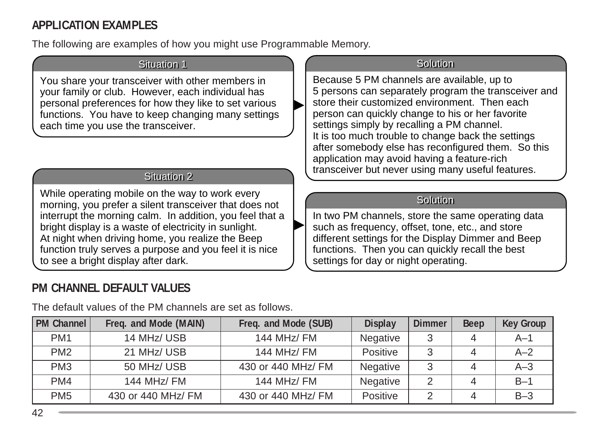## **APPLICATION EXAMPLES**

The following are examples of how you might use Programmable Memory.

#### **Situation 1**

You share your transceiver with other members in your family or club. However, each individual has personal preferences for how they like to set various functions. You have to keep changing many settings each time you use the transceiver.

#### Situation 2

While operating mobile on the way to work every morning, you prefer a silent transceiver that does not interrupt the morning calm. In addition, you feel that a bright display is a waste of electricity in sunlight. At night when driving home, you realize the Beep function truly serves a purpose and you feel it is nice to see a bright display after dark.

## **PM CHANNEL DEFAULT VALUES**

## **PM Channel Freq. and Mode (MAIN) Freq. and Mode (SUB) Display Dimmer Beep Key Group** PM1 | 14 MHz/ USB | 144 MHz/ FM | Negative | 3 | 4 | A–1 PM2 | 21 MHz/ USB | 144 MHz/ FM | Positive | 3 | 4 | A–2 PM3  $\vert$  50 MHz/ USB  $\vert$  430 or 440 MHz/ FM  $\vert$  Negative  $\vert$  3  $\vert$  4  $\vert$  A–3 P M M4 1 M 44 MHz/ F 1 e 44 MHz/ F N 24 1 egativ B– PM5  $\parallel$  430 or 440 MHz/ FM  $\parallel$  430 or 440 MHz/ FM  $\parallel$  Positive  $\parallel$  2  $\parallel$  4  $\parallel$  B-3

The default values of the PM channels are set as follows.

#### **Solution**

Because 5 PM channels are available, up to 5 persons can separately program the transceiver and store their customized environment. Then each person can quickly change to his or her favorite settings simply by recalling a PM channel. It is too much trouble to change back the settings after somebody else has reconfigured them. So this application may avoid having a feature-rich transceiver but never using many useful features.

#### Solution

In two PM channels, store the same operating data such as frequency, offset, tone, etc., and store different settings for the Display Dimmer and Beep functions. Then you can quickly recall the best settings for day or night operating.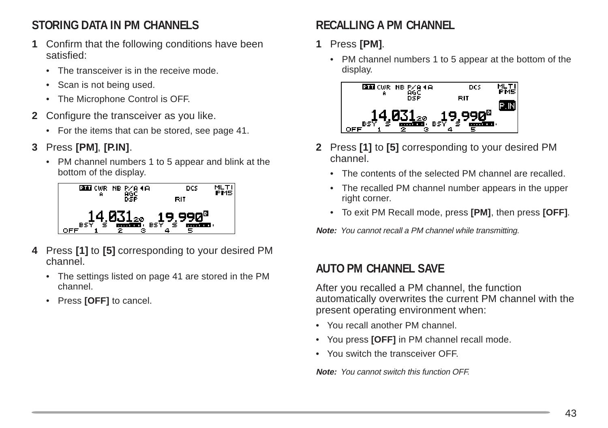## **STORING DATA IN PM CHANNELS**

- **1** Confirm that the following conditions have been satisfied:
	- The transceiver is in the receive mode.
	- Scan is not being used.
	- The Microphone Control is OFF.
- **2** Configure the transceiver as you like.
	- For the items that can be stored, see page 41.
- **3** Press **[PM]**, **[P.IN]**.
	- PM channel numbers 1 to 5 appear and blink at the bottom of the display.



- **4** Press **[1]** to **[5]** corresponding to your desired PM channel.
	- The settings listed on page 41 are stored in the PM channel.
	- Press **[OFF]** to cancel.

## **RECALLING A PM CHANNEL**

- **1** Press **[PM]**.
	- PM channel numbers 1 to 5 appear at the bottom of the display.



- **2** Press **[1]** to **[5]** corresponding to your desired PM channel.
	- The contents of the selected PM channel are recalled.
	- The recalled PM channel number appears in the upper right corner.
	- To exit PM Recall mode, press **[PM]**, then press **[OFF]**.

**Note:** You cannot recall a PM channel while transmitting.

## **AUTO PM CHANNEL SAVE**

After you recalled a PM channel, the function automatically overwrites the current PM channel with the present operating environment when:

- You recall another PM channel.
- You press **[OFF]** in PM channel recall mode.
- You switch the transceiver OFF.

**Note:** You cannot switch this function OFF.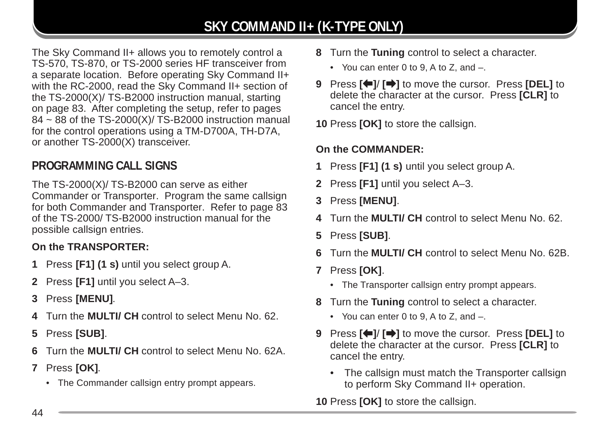## **SKY COMMAND II+ (K-TYPE ONLY)**

The Sky Command II+ allows you to remotely control a TS-570, TS-870, or TS-2000 series HF transceiver from a separate location. Before operating Sky Command II+ with the RC-2000, read the Sky Command II+ section of the TS-2000(X)/ TS-B2000 instruction manual, starting on page 83. After completing the setup, refer to pages  $84 \sim 88$  of the TS-2000(X)/ TS-B2000 instruction manual for the control operations using a TM-D700A, TH-D7A, or another TS-2000(X) transceiver.

## **PROGRAMMING CALL SIGNS**

The TS-2000(X)/ TS-B2000 can serve as either Commander or Transporter. Program the same callsign for both Commander and Transporter. Refer to page 83 of the TS-2000/ TS-B2000 instruction manual for the possible callsign entries.

#### **On the TRANSPORTER:**

- **1** Press **[F1] (1 s)** until you select group A.
- **2** Press **[F1]** until you select A–3.
- **3** Press **[MENU]**.
- **4** Turn the **MULTI/ CH** control to select Menu No. 62.
- **5** Press **[SUB]**.
- **6** Turn the **MULTI/ CH** control to select Menu No. 62A.
- **7** Press **[OK]**.
	- The Commander callsign entry prompt appears.
- **8** Turn the **Tuning** control to select a character.
	- You can enter 0 to 9, A to Z, and –.
- **9** Press **[**b**]**/ **[**a**]** to move the cursor. Press **[DEL]** to delete the character at the cursor. Press **[CLR]** to cancel the entry.
- **10** Press **[OK]** to store the callsign.

#### **On the COMMANDER:**

- **1** Press **[F1] (1 s)** until you select group A.
- **2** Press **[F1]** until you select A–3.
- **3** Press **[MENU]**.
- **4** Turn the **MULTI/ CH** control to select Menu No. 62.
- **5** Press **[SUB]**.
- **6** Turn the **MULTI/ CH** control to select Menu No. 62B.
- **7** Press **[OK]**.
	- The Transporter callsign entry prompt appears.
- **8** Turn the **Tuning** control to select a character.
	- You can enter 0 to 9, A to Z, and –.
- **9** Press **[**b**]**/ **[**a**]** to move the cursor. Press **[DEL]** to delete the character at the cursor. Press **[CLR]** to cancel the entry.
	- The callsign must match the Transporter callsign to perform Sky Command II+ operation.

**10** Press **[OK]** to store the callsign.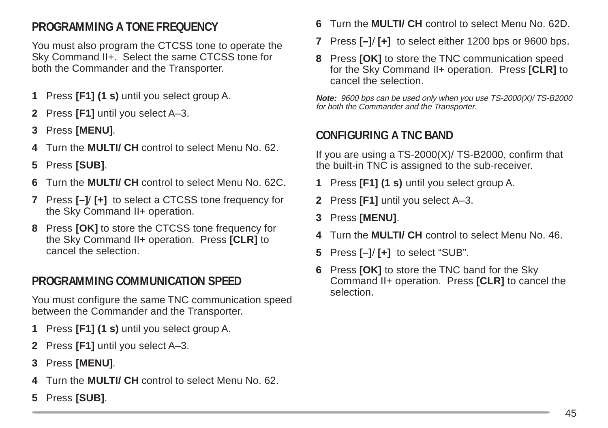## **PROGRAMMING A TONE FREQUENCY**

You must also program the CTCSS tone to operate the Sky Command II+. Select the same CTCSS tone for both the Commander and the Transporter.

- **1** Press **[F1] (1 s)** until you select group A.
- **2** Press **[F1]** until you select A–3.
- **3** Press **[MENU]**.
- **4** Turn the **MULTI/ CH** control to select Menu No. 62.
- **5** Press **[SUB]**.
- **6** Turn the **MULTI/ CH** control to select Menu No. 62C.
- **7** Press **[–]**/ **[+]** to select a CTCSS tone frequency for the Sky Command II+ operation.
- **8** Press **[OK]** to store the CTCSS tone frequency for the Sky Command II+ operation. Press **[CLR]** to cancel the selection.

## **PROGRAMMING COMMUNICATION SPEED**

You must configure the same TNC communication speed between the Commander and the Transporter.

- **1** Press **[F1] (1 s)** until you select group A.
- **2** Press **[F1]** until you select A–3.
- **3** Press **[MENU]**.
- **4** Turn the **MULTI/ CH** control to select Menu No. 62.
- **5** Press **[SUB]**.
- **6** Turn the **MULTI/ CH** control to select Menu No. 62D.
- **7** Press **[–]**/ **[+]** to select either 1200 bps or 9600 bps.
- **8** Press **[OK]** to store the TNC communication speed for the Sky Command II+ operation. Press **[CLR]** to cancel the selection.

**Note:** 9600 bps can be used only when you use TS-2000(X)/ TS-B2000 for both the Commander and the Transporter.

#### **CONFIGURING A TNC BAND**

If you are using a TS-2000(X)/ TS-B2000, confirm that the built-in TNC is assigned to the sub-receiver.

- **1** Press **[F1] (1 s)** until you select group A.
- **2** Press **[F1]** until you select A–3.
- **3** Press **[MENU]**.
- **4** Turn the **MULTI/ CH** control to select Menu No. 46.
- **5** Press **[–]**/ **[+]** to select "SUB".
- **6** Press **[OK]** to store the TNC band for the Sky Command II+ operation. Press **[CLR]** to cancel the selection.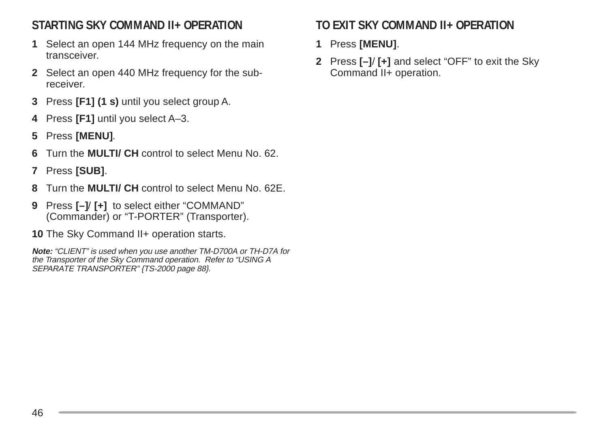## **STARTING SKY COMMAND II+ OPERATION**

- **1** Select an open 144 MHz frequency on the main transceiver.
- **2** Select an open 440 MHz frequency for the subreceiver.
- **3** Press **[F1] (1 s)** until you select group A.
- **4** Press **[F1]** until you select A–3.
- **5** Press **[MENU]**.
- **6** Turn the **MULTI/ CH** control to select Menu No. 62.
- **7** Press **[SUB]**.
- **8** Turn the **MULTI/ CH** control to select Menu No. 62E.
- **9** Press **[–]**/ **[+]** to select either "COMMAND" (Commander) or "T-PORTER" (Transporter).
- 10 The Sky Command II+ operation starts.

**Note:** "CLIENT" is used when you use another TM-D700A or TH-D7A for the Transporter of the Sky Command operation. Refer to "USING A SEPARATE TRANSPORTER" {TS-2000 page 88}.

## **TO EXIT SKY COMMAND II+ OPERATION**

- **1** Press **[MENU]**.
- **2** Press **[–]**/ **[+]** and select "OFF" to exit the Sky Command II+ operation.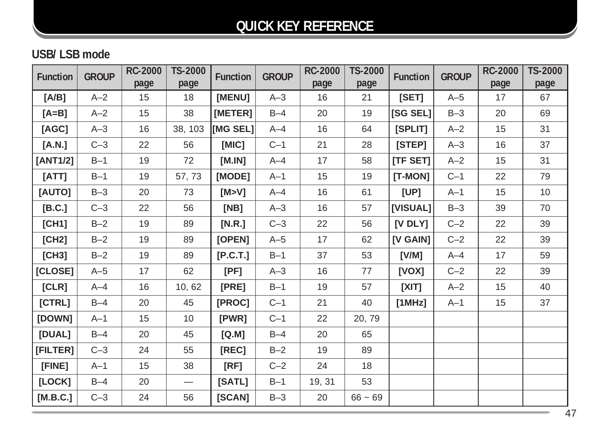## **QUICK KEY REFERENCE**

## **USB/ LSB mode**

| <b>Function</b> | <b>GROUP</b> | <b>RC-2000</b> | TS-2000 | <b>Function</b> | <b>GROUP</b> | <b>RC-2000</b> | TS-2000   | <b>Function</b> | <b>GROUP</b> | <b>RC-2000</b> | <b>TS-2000</b> |
|-----------------|--------------|----------------|---------|-----------------|--------------|----------------|-----------|-----------------|--------------|----------------|----------------|
|                 |              | page           | page    |                 |              | page           | page      |                 |              | page           | page           |
| [A/B]           | $A-2$        | 15             | 18      | [MENU]          | $A-3$        | 16             | 21        | [SET]           | $A-5$        | 17             | 67             |
| $[A=B]$         | $A-2$        | 15             | 38      | [METER]         | $B-4$        | 20             | 19        | [SG SEL]        | $B-3$        | 20             | 69             |
| [AGC]           | $A-3$        | 16             | 38, 103 | <b>IMG SEL1</b> | $A - 4$      | 16             | 64        | [SPLIT]         | $A - 2$      | 15             | 31             |
| [A.N.]          | $C-3$        | 22             | 56      | [MIC]           | $C-1$        | 21             | 28        | [STEP]          | $A-3$        | 16             | 37             |
| [ANT1/2]        | $B-1$        | 19             | 72      | [M.IN]          | $A - 4$      | 17             | 58        | [TF SET]        | $A-2$        | 15             | 31             |
| [ATT]           | $B-1$        | 19             | 57,73   | [MODE]          | $A-1$        | 15             | 19        | $[T-MON]$       | $C-1$        | 22             | 79             |
| [AUTO]          | $B-3$        | 20             | 73      | [M>V]           | $A - 4$      | 16             | 61        | [UP]            | $A-1$        | 15             | 10             |
| [B.C.]          | $C-3$        | 22             | 56      | [NB]            | $A-3$        | 16             | 57        | [VISUAL]        | $B-3$        | 39             | 70             |
| [CH1]           | $B-2$        | 19             | 89      | [N.R.]          | $C-3$        | 22             | 56        | [V DLY]         | $C-2$        | 22             | 39             |
| [CH2]           | $B-2$        | 19             | 89      | [OPEN]          | $A-5$        | 17             | 62        | [V GAIN]        | $C-2$        | 22             | 39             |
| [CH3]           | $B-2$        | 19             | 89      | [P.C.T.]        | $B-1$        | 37             | 53        | [V/M]           | $A - 4$      | 17             | 59             |
| [CLOSE]         | $A-5$        | 17             | 62      | [PF]            | $A-3$        | 16             | 77        | [VOX]           | $C-2$        | 22             | 39             |
| [CLR]           | $A - 4$      | 16             | 10,62   | [PRE]           | $B-1$        | 19             | 57        | [XIT]           | $A - 2$      | 15             | 40             |
| [CTRL]          | $B-4$        | 20             | 45      | [PROC]          | $C-1$        | 21             | 40        | [1MHz]          | $A-1$        | 15             | 37             |
| [DOWN]          | $A-1$        | 15             | 10      | [PWR]           | $C-1$        | 22             | 20,79     |                 |              |                |                |
| [DUAL]          | $B-4$        | 20             | 45      | [Q.M]           | $B-4$        | 20             | 65        |                 |              |                |                |
| [FILTER]        | $C-3$        | 24             | 55      | [REC]           | $B-2$        | 19             | 89        |                 |              |                |                |
| [FINE]          | $A-1$        | 15             | 38      | [RF]            | $C-2$        | 24             | 18        |                 |              |                |                |
| [LOCK]          | $B-4$        | 20             |         | [SATL]          | $B-1$        | 19, 31         | 53        |                 |              |                |                |
| [M.B.C.]        | $C-3$        | 24             | 56      | [SCAN]          | $B-3$        | 20             | $66 - 69$ |                 |              |                |                |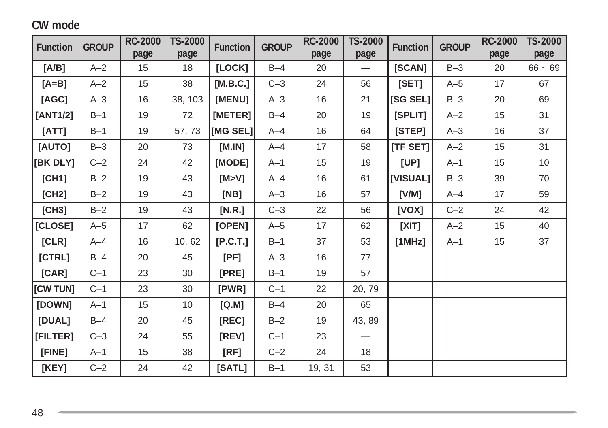#### **CW mode**

| <b>Function</b> | <b>GROUP</b> | <b>RC-2000</b> | TS-2000 | <b>Function</b> | <b>GROUP</b> | <b>RC-2000</b> | TS-2000                         | <b>Function</b> | <b>GROUP</b> | <b>RC-2000</b> | TS-2000   |
|-----------------|--------------|----------------|---------|-----------------|--------------|----------------|---------------------------------|-----------------|--------------|----------------|-----------|
|                 |              | page           | page    |                 |              | page           | page                            |                 |              | page           | page      |
| [A/B]           | $A - 2$      | 15             | 18      | [LOCK]          | $B-4$        | 20             | $\hspace{0.1mm}-\hspace{0.1mm}$ | [SCAN]          | $B-3$        | 20             | $66 - 69$ |
| $[A=B]$         | $A - 2$      | 15             | 38      | [M.B.C.]        | $C-3$        | 24             | 56                              | [SET]           | $A-5$        | 17             | 67        |
| [AGC]           | $A-3$        | 16             | 38, 103 | [MENU]          | $A-3$        | 16             | 21                              | [SG SEL]        | $B-3$        | 20             | 69        |
| [ANT1/2]        | $B-1$        | 19             | 72      | [METER]         | $B-4$        | 20             | 19                              | [SPLIT]         | $A-2$        | 15             | 31        |
| [ATT]           | $B-1$        | 19             | 57,73   | [MG SEL]        | $A - 4$      | 16             | 64                              | [STEP]          | $A-3$        | 16             | 37        |
| [AUTO]          | $B-3$        | 20             | 73      | [M.IN]          | $A - 4$      | 17             | 58                              | [TF SET]        | $A-2$        | 15             | 31        |
| [BK DLY]        | $C-2$        | 24             | 42      | [MODE]          | $A-1$        | 15             | 19                              | [UP]            | $A-1$        | 15             | $10$      |
| [CH1]           | $B-2$        | 19             | 43      | [M>V]           | $A - 4$      | 16             | 61                              | [VISUAL]        | $B-3$        | 39             | 70        |
| [CH2]           | $B-2$        | 19             | 43      | [NB]            | $A-3$        | 16             | 57                              | [V/M]           | $A - 4$      | 17             | 59        |
| [CH3]           | $B-2$        | 19             | 43      | [N.R.]          | $C-3$        | 22             | 56                              | [VOX]           | $C-2$        | 24             | 42        |
| [CLOSE]         | $A-5$        | 17             | 62      | [OPEN]          | $A-5$        | 17             | 62                              | [XIT]           | $A-2$        | 15             | 40        |
| [CLR]           | $A - 4$      | 16             | 10,62   | [P.C.T.]        | $B-1$        | 37             | 53                              | [1MHz]          | $A-1$        | 15             | 37        |
| [CTRL]          | $B-4$        | 20             | 45      | [PF]            | $A-3$        | 16             | 77                              |                 |              |                |           |
| [CAR]           | $C-1$        | 23             | 30      | [PRE]           | $B-1$        | 19             | 57                              |                 |              |                |           |
| [CW TUN]        | $C-1$        | 23             | 30      | [PWR]           | $C-1$        | 22             | 20, 79                          |                 |              |                |           |
| [DOWN]          | $A-1$        | 15             | 10      | [Q.M]           | $B-4$        | 20             | 65                              |                 |              |                |           |
| [DUAL]          | $B-4$        | 20             | 45      | [REC]           | $B-2$        | 19             | 43, 89                          |                 |              |                |           |
| [FILTER]        | $C-3$        | 24             | 55      | [REV]           | $C-1$        | 23             |                                 |                 |              |                |           |
| [FINE]          | $A-1$        | 15             | 38      | [RF]            | $C-2$        | 24             | 18                              |                 |              |                |           |
| [KEY]           | $C-2$        | 24             | 42      | [SATL]          | $B-1$        | 19, 31         | 53                              |                 |              |                |           |

,我们也不会有什么?""我们的人,我们也不会不会不会。""我们的人,我们也不会不会不会。""我们的人,我们也不会不会不会。""我们的人,我们也不会不会不会不会。"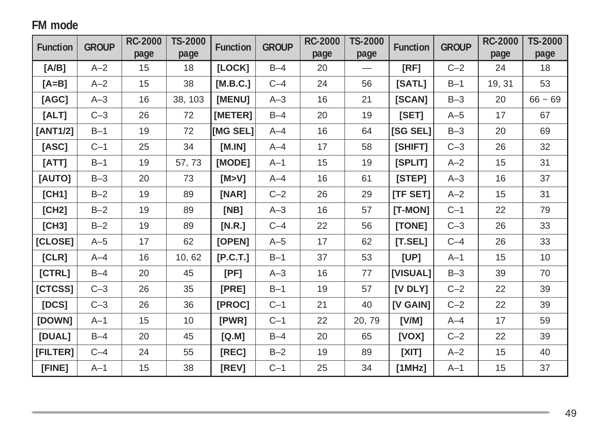## **FM mode**

| <b>Function</b> | <b>GROUP</b> | <b>RC-2000</b> | <b>TS-2000</b> | <b>Function</b> | <b>GROUP</b> | <b>RC-2000</b> | TS-2000 | <b>Function</b> | <b>GROUP</b> | <b>RC-2000</b> | <b>TS-2000</b> |
|-----------------|--------------|----------------|----------------|-----------------|--------------|----------------|---------|-----------------|--------------|----------------|----------------|
|                 |              | page           | page           |                 |              | page           | page    |                 |              | page           | page           |
| [A/B]           | $A-2$        | 15             | 18             | [LOCK]          | $B-4$        | 20             |         | [RF]            | $C-2$        | 24             | 18             |
| $[A=B]$         | $A-2$        | 15             | 38             | [M.B.C.]        | $C-4$        | 24             | 56      | [SATL]          | $B-1$        | 19, 31         | 53             |
| [AGC]           | $A-3$        | 16             | 38, 103        | [MENU]          | $A-3$        | 16             | 21      | [SCAN]          | $B-3$        | 20             | $66 - 69$      |
| [ALT]           | $C-3$        | 26             | 72             | [METER]         | $B-4$        | 20             | 19      | [SET]           | $A-5$        | 17             | 67             |
| [ANT1/2]        | $B-1$        | 19             | 72             | [MG SEL]        | $A-4$        | 16             | 64      | [SG SEL]        | $B-3$        | 20             | 69             |
| [ASC]           | $C-1$        | 25             | 34             | [M.IN]          | $A-4$        | 17             | 58      | [SHIFT]         | $C-3$        | 26             | 32             |
| [ATT]           | $B-1$        | 19             | 57, 73         | [MODE]          | $A-1$        | 15             | 19      | [SPLIT]         | $A-2$        | 15             | 31             |
| [AUTO]          | $B-3$        | 20             | 73             | [M>V]           | $A - 4$      | 16             | 61      | [STEP]          | $A-3$        | 16             | 37             |
| [CH1]           | $B-2$        | 19             | 89             | [NAR]           | $C-2$        | 26             | 29      | <b>ITF SET1</b> | $A-2$        | 15             | 31             |
| [CH2]           | $B-2$        | 19             | 89             | [NB]            | $A-3$        | 16             | 57      | [T-MON]         | $C-1$        | 22             | 79             |
| [CH3]           | $B-2$        | 19             | 89             | [N.R.]          | $C-4$        | 22             | 56      | [TONE]          | $C-3$        | 26             | 33             |
| [CLOSE]         | $A-5$        | 17             | 62             | [OPEN]          | $A-5$        | 17             | 62      | [T.SEL]         | $C-4$        | 26             | 33             |
| [CLR]           | $A - 4$      | 16             | 10,62          | [P.C.T.]        | $B-1$        | 37             | 53      | [UP]            | $A-1$        | 15             | 10             |
| [CTRL]          | $B-4$        | 20             | 45             | [PF]            | $A-3$        | 16             | 77      | [VISUAL]        | $B-3$        | 39             | 70             |
| [CTCSS]         | $C-3$        | 26             | 35             | [PRE]           | $B-1$        | 19             | 57      | [V DLY]         | $C-2$        | 22             | 39             |
| [DCS]           | $C-3$        | 26             | 36             | [PROC]          | $C-1$        | 21             | 40      | [V GAIN]        | $C-2$        | 22             | 39             |
| [DOWN]          | $A-1$        | 15             | 10             | [PWR]           | $C-1$        | 22             | 20, 79  | [V/M]           | $A - 4$      | 17             | 59             |
| [DUAL]          | $B-4$        | 20             | 45             | [Q.M]           | $B-4$        | 20             | 65      | [VOX]           | $C-2$        | 22             | 39             |
| [FILTER]        | $C-4$        | 24             | 55             | [REC]           | $B-2$        | 19             | 89      | [XIT]           | $A-2$        | 15             | 40             |
| [FINE]          | $A-1$        | 15             | 38             | [REV]           | $C-1$        | 25             | 34      | [1MHz]          | $A-1$        | 15             | 37             |

<u> 1989 - Jan Samuel Barbara, marka a shekara ta 1989 - An tsara tsa a shekara tsa 1989 - An tsa a tsa a tsa a t</u>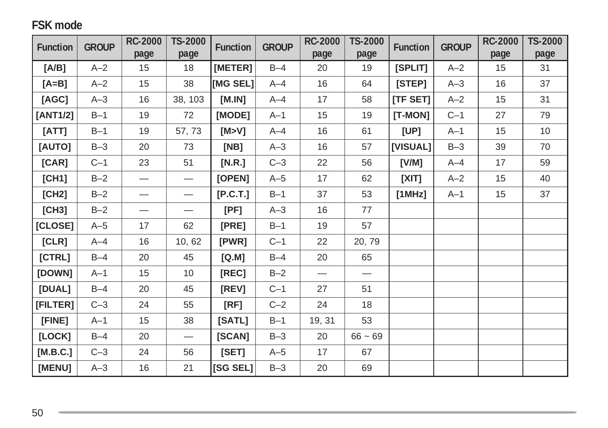## **FSK mode**

| <b>Function</b> | <b>GROUP</b> | <b>RC-2000</b>                    | <b>TS-2000</b>                    | <b>Function</b> | <b>GROUP</b> | <b>RC-2000</b>  | TS-2000   | <b>Function</b> | <b>GROUP</b> | <b>RC-2000</b> | TS-2000 |
|-----------------|--------------|-----------------------------------|-----------------------------------|-----------------|--------------|-----------------|-----------|-----------------|--------------|----------------|---------|
|                 |              | page                              | page                              |                 |              | page            | page      |                 |              | page           | page    |
| [A/B]           | $A-2$        | 15                                | 18                                | [METER]         | $B-4$        | 20              | 19        | [SPLIT]         | $A-2$        | 15             | 31      |
| $[A=B]$         | $A-2$        | 15                                | 38                                | [MG SEL]        | $A - 4$      | 16              | 64        | [STEP]          | $A-3$        | 16             | 37      |
| [AGC]           | $A-3$        | 16                                | 38, 103                           | [M.IN]          | $A - 4$      | 17              | 58        | [TF SET]        | $A - 2$      | 15             | 31      |
| [ANT1/2]        | $B-1$        | 19                                | 72                                | [MODE]          | $A-1$        | 15              | 19        | $[T-MON]$       | $C-1$        | 27             | 79      |
| [ATT]           | $B-1$        | 19                                | 57,73                             | [M>V]           | $A - 4$      | 16              | 61        | [UP]            | $A-1$        | 15             | 10      |
| [AUTO]          | $B-3$        | 20                                | 73                                | [NB]            | $A-3$        | 16              | 57        | [VISUAL]        | $B-3$        | 39             | 70      |
| [CAR]           | $C-1$        | 23                                | 51                                | [N.R.]          | $C-3$        | 22              | 56        | [V/M]           | $A - 4$      | 17             | 59      |
| [CH1]           | $B-2$        |                                   | $\overline{\phantom{m}}$          | [OPEN]          | $A-5$        | 17              | 62        | [XIT]           | $A-2$        | 15             | 40      |
| [CH2]           | $B-2$        | $\overbrace{\phantom{123221111}}$ |                                   | [P.C.T.]        | $B-1$        | 37              | 53        | [1MHz]          | $A-1$        | 15             | 37      |
| [CH3]           | $B-2$        | $\qquad \qquad$                   | $\hspace{0.1mm}-\hspace{0.1mm}$   | [PF]            | $A-3$        | 16              | 77        |                 |              |                |         |
| [CLOSE]         | $A-5$        | 17                                | 62                                | [PRE]           | $B-1$        | 19              | 57        |                 |              |                |         |
| [CLR]           | $A - 4$      | 16                                | 10,62                             | [PWR]           | $C-1$        | 22              | 20, 79    |                 |              |                |         |
| [CFRL]          | $B-4$        | 20                                | 45                                | [Q.M]           | $B-4$        | 20              | 65        |                 |              |                |         |
| [DOWN]          | $A-1$        | 15                                | 10                                | [REC]           | $B-2$        | $\qquad \qquad$ |           |                 |              |                |         |
| [DUAL]          | $B-4$        | 20                                | 45                                | [REV]           | $C-1$        | 27              | 51        |                 |              |                |         |
| [FILTER]        | $C-3$        | 24                                | 55                                | [RF]            | $C-2$        | 24              | 18        |                 |              |                |         |
| [FINE]          | $A-1$        | 15                                | 38                                | [SATL]          | $B-1$        | 19, 31          | 53        |                 |              |                |         |
| [LOCK]          | $B-4$        | 20                                | $\overbrace{\phantom{123221111}}$ | [SCAN]          | $B-3$        | 20              | $66 - 69$ |                 |              |                |         |
| [M.B.C.]        | $C-3$        | 24                                | 56                                | [SET]           | $A-5$        | 17              | 67        |                 |              |                |         |
| [MENU]          | $A-3$        | 16                                | 21                                | [SG SEL]        | $B-3$        | 20              | 69        |                 |              |                |         |

and the control of the control of the control of the control of the control of the control of the control of th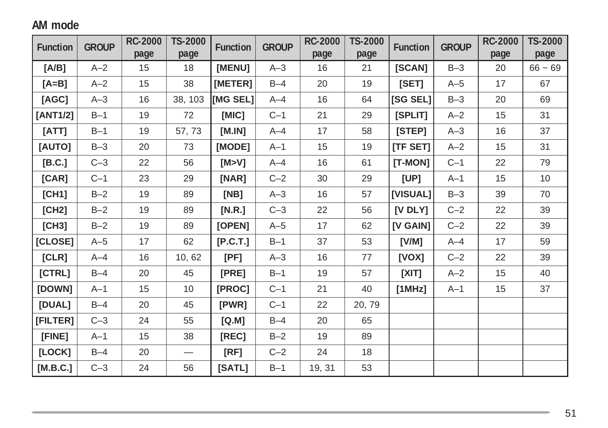## **AM mode**

| <b>Function</b> | <b>GROUP</b> | <b>RC-2000</b> | TS-2000                  | <b>Function</b> | <b>GROUP</b> | <b>RC-2000</b> | TS-2000 | <b>Function</b> | <b>GROUP</b> | <b>RC-2000</b> | TS-2000   |
|-----------------|--------------|----------------|--------------------------|-----------------|--------------|----------------|---------|-----------------|--------------|----------------|-----------|
|                 |              | page           | page                     |                 |              | page           | page    |                 |              | page           | page      |
| [A/B]           | $A-2$        | 15             | 18                       | [MENU]          | $A-3$        | 16             | 21      | [SCAN]          | $B-3$        | 20             | $66 - 69$ |
| $[A=B]$         | $A-2$        | 15             | 38                       | [METER]         | $B-4$        | 20             | 19      | [SET]           | $A-5$        | 17             | 67        |
| [AGC]           | $A-3$        | 16             | 38, 103                  | [MG SEL]        | $A - 4$      | 16             | 64      | [SG SEL]        | $B-3$        | 20             | 69        |
| [ANT1/2]        | $B-1$        | 19             | 72                       | [MIC]           | $C-1$        | 21             | 29      | [SPLIT]         | $A - 2$      | 15             | 31        |
| [ATT]           | $B-1$        | 19             | 57,73                    | [M.IN]          | $A - 4$      | 17             | 58      | [STEP]          | $A-3$        | 16             | 37        |
| [AUTO]          | $B-3$        | 20             | 73                       | [MODE]          | $A-1$        | 15             | 19      | [TF SET]        | $A-2$        | 15             | 31        |
| [B.C.]          | $C-3$        | 22             | 56                       | [M>V]           | $A - 4$      | 16             | 61      | [T-MON]         | $C-1$        | 22             | 79        |
| [CAR]           | $C-1$        | 23             | 29                       | [NAR]           | $C-2$        | 30             | 29      | [UP]            | $A-1$        | 15             | 10        |
| [CH1]           | $B-2$        | 19             | 89                       | [NB]            | $A-3$        | 16             | 57      | [VISUAL]        | $B-3$        | 39             | 70        |
| [CH2]           | $B-2$        | 19             | 89                       | [N.R.]          | $C-3$        | 22             | 56      | $[V$ DLY $]$    | $C-2$        | 22             | 39        |
| [CH3]           | $B-2$        | 19             | 89                       | [OPEN]          | $A-5$        | 17             | 62      | <b>IV GAIN]</b> | $C-2$        | 22             | 39        |
| [CLOSE]         | $A-5$        | 17             | 62                       | [P.C.T.]        | $B-1$        | 37             | 53      | [V/M]           | $A-4$        | 17             | 59        |
| [CLR]           | $A - 4$      | 16             | 10, 62                   | [PF]            | $A-3$        | 16             | 77      | [VOX]           | $C-2$        | 22             | 39        |
| [CTRL]          | $B-4$        | 20             | 45                       | [PRE]           | $B-1$        | 19             | 57      | [XIT]           | $A-2$        | 15             | 40        |
| [DOWN]          | $A-1$        | 15             | 10                       | [PROC]          | $C-1$        | 21             | 40      | [1MHz]          | $A-1$        | 15             | 37        |
| [DUAL]          | $B-4$        | 20             | 45                       | [PWR]           | $C-1$        | 22             | 20, 79  |                 |              |                |           |
| [FILTER]        | $C-3$        | 24             | 55                       | [Q.M]           | $B-4$        | 20             | 65      |                 |              |                |           |
| [FINE]          | $A-1$        | 15             | 38                       | [REC]           | $B-2$        | 19             | 89      |                 |              |                |           |
| [LOCK]          | $B-4$        | 20             | $\overline{\phantom{0}}$ | [RF]            | $C-2$        | 24             | 18      |                 |              |                |           |
| [M.B.C.]        | $C-3$        | 24             | 56                       | [SATL]          | $B-1$        | 19, 31         | 53      |                 |              |                |           |

,我们也不会有什么?""我们的人,我们也不会有什么?""我们的人,我们也不会有什么?""我们的人,我们也不会有什么?""我们的人,我们也不会有什么?""我们的人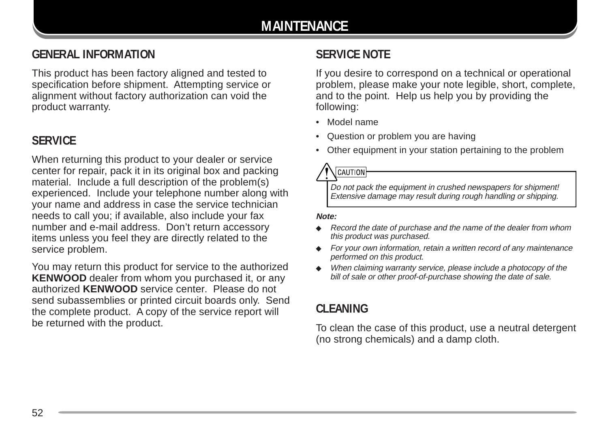## **GENERAL INFORMATION**

This product has been factory aligned and tested to specification before shipment. Attempting service or alignment without factory authorization can void the product warranty.

#### **SERVICE**

When returning this product to your dealer or service center for repair, pack it in its original box and packing material. Include a full description of the problem(s) experienced. Include your telephone number along with your name and address in case the service technician needs to call you; if available, also include your fax number and e-mail address. Don't return accessory items unless you feel they are directly related to the service problem.

You may return this product for service to the authorized **KENWOOD** dealer from whom you purchased it, or any authorized **KENWOOD** service center. Please do not send subassemblies or printed circuit boards only. Send the complete product. A copy of the service report will be returned with the product.

## **SERVICE NOTE**

If you desire to correspond on a technical or operational problem, please make your note legible, short, complete, and to the point. Help us help you by providing the following:

- Model name
- Question or problem you are having
- Other equipment in your station pertaining to the problem

## $[CAUTION]$

Do not pack the equipment in crushed newspapers for shipment! Extensive damage may result during rough handling or shipping.

#### **Note:**

- ◆ Record the date of purchase and the name of the dealer from whom this product was purchased.
- ◆ For your own information, retain a written record of any maintenance performed on this product.
- When claiming warranty service, please include a photocopy of the bill of sale or other proof-of-purchase showing the date of sale.

### **CLEANING**

To clean the case of this product, use a neutral detergent (no strong chemicals) and a damp cloth.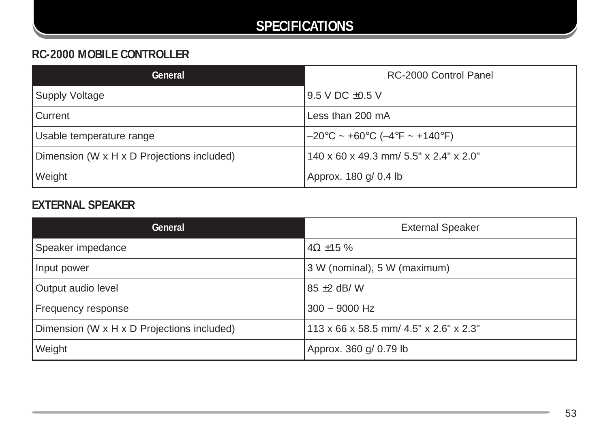## **SPECIFICATIONS**

## **RC-2000 MOBILE CONTROLLER**

| General                                    | RC-2000 Control Panel                  |
|--------------------------------------------|----------------------------------------|
| Supply Voltage                             | l 9.5 V DC ±0.5 V                      |
| l Current                                  | Less than 200 mA                       |
| Usable temperature range                   | –20°C ~ +60°C (–4°F ~ +140°F)          |
| Dimension (W x H x D Projections included) | 140 x 60 x 49.3 mm/ 5.5" x 2.4" x 2.0" |
| <b>Weight</b>                              | Approx. 180 g/ 0.4 lb                  |

## **EXTERNAL SPEAKER**

| General                                    | <b>External Speaker</b>                |
|--------------------------------------------|----------------------------------------|
| Speaker impedance                          | $4\Omega$ ±15 %                        |
| Input power                                | 3 W (nominal), 5 W (maximum)           |
| Output audio level                         | $85 \pm 2$ dB/W                        |
| Frequency response                         | $300 \sim 9000$ Hz                     |
| Dimension (W x H x D Projections included) | 113 x 66 x 58.5 mm/ 4.5" x 2.6" x 2.3" |
| Weight                                     | Approx. 360 g/ 0.79 lb                 |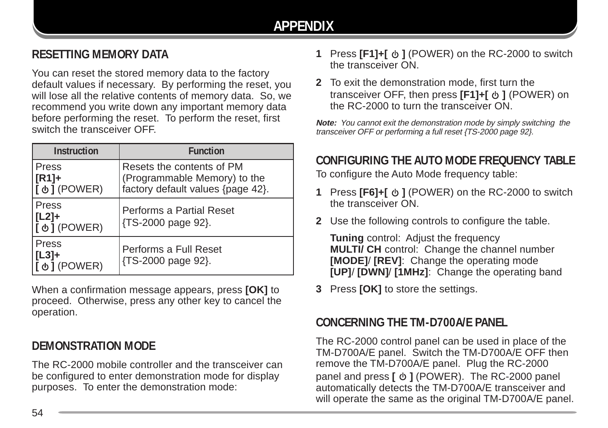## **RESETTING MEMORY DATA**

You can reset the stored memory data to the factory default values if necessary. By performing the reset, you will lose all the relative contents of memory data. So, we recommend you write down any important memory data before performing the reset. To perform the reset, first switch the transceiver OFF.

| <b>Instruction</b>                       | <b>Function</b>                                                                                |
|------------------------------------------|------------------------------------------------------------------------------------------------|
| <b>Press</b><br> [R1]+<br> [ め ] (POWER) | Resets the contents of PM<br>(Programmable Memory) to the<br>factory default values {page 42}. |
| l Press<br>  [L2]+<br>I [ ψ ] (POWER)    | Performs a Partial Reset<br>{TS-2000 page 92}.                                                 |
| Press<br>$ L3]+$<br>[ ψ ] (POWER)        | Performs a Full Reset<br>{TS-2000 page 92}.                                                    |

When a confirmation message appears, press **[OK]** to proceed. Otherwise, press any other key to cancel the operation.

## **DEMONSTRATION MODE**

The RC-2000 mobile controller and the transceiver can be configured to enter demonstration mode for display purposes. To enter the demonstration mode:

- **1** Press **[F1]+[**  $\upphi$  **]** (POWER) on the RC-2000 to switch the transceiver ON.
- **2** To exit the demonstration mode, first turn the transceiver OFF, then press [F1]+[  $\phi$  ] (POWER) on the RC-2000 to turn the transceiver ON.

**Note:** You cannot exit the demonstration mode by simply switching the transceiver OFF or performing a full reset {TS-2000 page 92}.

## **CONFIGURING THE AUTO MODE FREQUENCY TABLE**

To configure the Auto Mode frequency table:

- **1** Press **[F6]+[**  $\upphi$  **]** (POWER) on the RC-2000 to switch the transceiver ON.
- **2** Use the following controls to configure the table.

**Tuning** control: Adjust the frequency **MULTI/ CH** control: Change the channel number **[MODE]**/ **[REV]**: Change the operating mode **[UP]**/ **[DWN]**/ **[1MHz]**: Change the operating band

**3** Press **[OK]** to store the settings.

#### **CONCERNING THE TM-D700A/E PANEL**

The RC-2000 control panel can be used in place of the TM-D700A/E panel. Switch the TM-D700A/E OFF then remove the TM-D700A/E panel. Plug the RC-2000 panel and press [  $\phi$  ] (POWER). The RC-2000 panel automatically detects the TM-D700A/E transceiver and will operate the same as the original TM-D700A/E panel.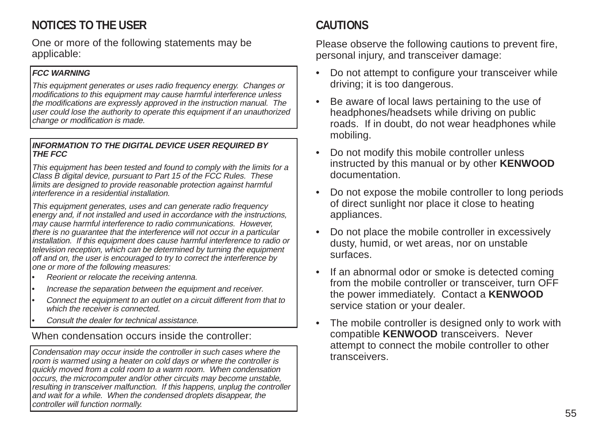## **NOTICES TO THE USER**

One or more of the following statements may be applicable:

#### **FCC WARNING**

This equipment generates or uses radio frequency energy. Changes or modifications to this equipment may cause harmful interference unless the modifications are expressly approved in the instruction manual. The user could lose the authority to operate this equipment if an unauthorized change or modification is made.

#### **INFORMATION TO THE DIGITAL DEVICE USER REQUIRED BY THE FCC**

This equipment has been tested and found to comply with the limits for a Class B digital device, pursuant to Part 15 of the FCC Rules. These limits are designed to provide reasonable protection against harmful interference in a residential installation.

This equipment generates, uses and can generate radio frequency energy and, if not installed and used in accordance with the instructions, may cause harmful interference to radio communications. However, there is no guarantee that the interference will not occur in a particular installation. If this equipment does cause harmful interference to radio or television reception, which can be determined by turning the equipment off and on, the user is encouraged to try to correct the interference by one or more of the following measures:

- Reorient or relocate the receiving antenna.
- Increase the separation between the equipment and receiver.
- Connect the equipment to an outlet on a circuit different from that to which the receiver is connected.
- Consult the dealer for technical assistance.

When condensation occurs inside the controller:

Condensation may occur inside the controller in such cases where the room is warmed using a heater on cold days or where the controller is quickly moved from a cold room to a warm room. When condensation occurs, the microcomputer and/or other circuits may become unstable, resulting in transceiver malfunction. If this happens, unplug the controller and wait for a while. When the condensed droplets disappear, the controller will function normally.

## **CAUTIONS**

Please observe the following cautions to prevent fire, personal injury, and transceiver damage:

- Do not attempt to configure your transceiver while driving; it is too dangerous.
- Be aware of local laws pertaining to the use of headphones/headsets while driving on public roads. If in doubt, do not wear headphones while mobiling.
- Do not modify this mobile controller unless instructed by this manual or by other **KENWOOD** documentation.
- Do not expose the mobile controller to long periods of direct sunlight nor place it close to heating appliances.
- Do not place the mobile controller in excessively dusty, humid, or wet areas, nor on unstable surfaces.
- If an abnormal odor or smoke is detected coming from the mobile controller or transceiver, turn OFF the power immediately. Contact a **KENWOOD** service station or your dealer.
- The mobile controller is designed only to work with compatible **KENWOOD** transceivers. Never attempt to connect the mobile controller to other transceivers.